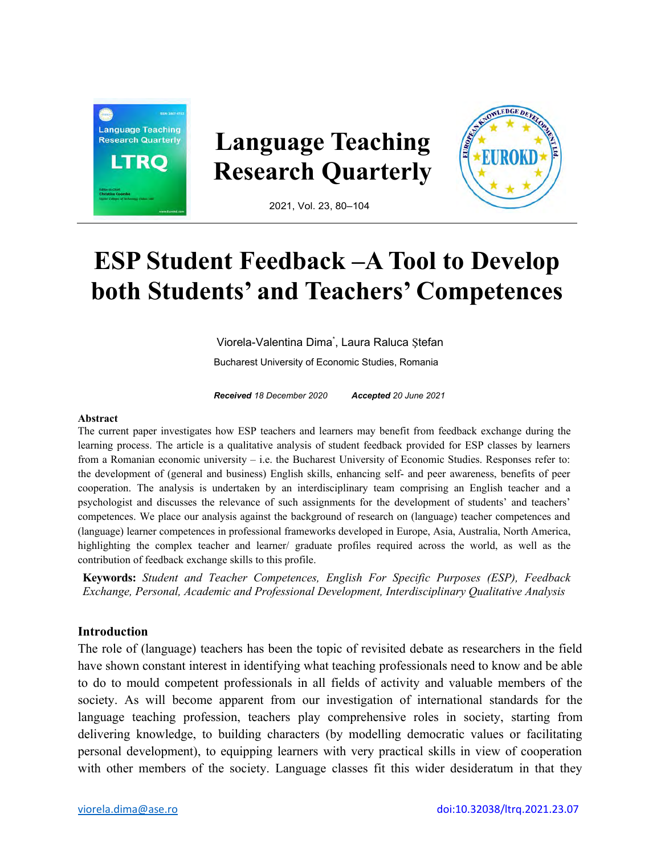

# **ESP Student Feedback –A Tool to Develop both Students' and Teachers' Competences**

Viorela-Valentina Dima\* , Laura Raluca Ştefan Bucharest University of Economic Studies, Romania

*Received 18 December 2020 Accepted 20 June 2021*

#### **Abstract**

The current paper investigates how ESP teachers and learners may benefit from feedback exchange during the learning process. The article is a qualitative analysis of student feedback provided for ESP classes by learners from a Romanian economic university – i.e. the Bucharest University of Economic Studies. Responses refer to: the development of (general and business) English skills, enhancing self- and peer awareness, benefits of peer cooperation. The analysis is undertaken by an interdisciplinary team comprising an English teacher and a psychologist and discusses the relevance of such assignments for the development of students' and teachers' competences. We place our analysis against the background of research on (language) teacher competences and (language) learner competences in professional frameworks developed in Europe, Asia, Australia, North America, highlighting the complex teacher and learner/ graduate profiles required across the world, as well as the contribution of feedback exchange skills to this profile.

**Keywords:** *Student and Teacher Competences, English For Specific Purposes (ESP), Feedback Exchange, Personal, Academic and Professional Development, Interdisciplinary Qualitative Analysis*

## **Introduction**

The role of (language) teachers has been the topic of revisited debate as researchers in the field have shown constant interest in identifying what teaching professionals need to know and be able to do to mould competent professionals in all fields of activity and valuable members of the society. As will become apparent from our investigation of international standards for the language teaching profession, teachers play comprehensive roles in society, starting from delivering knowledge, to building characters (by modelling democratic values or facilitating personal development), to equipping learners with very practical skills in view of cooperation with other members of the society. Language classes fit this wider desideratum in that they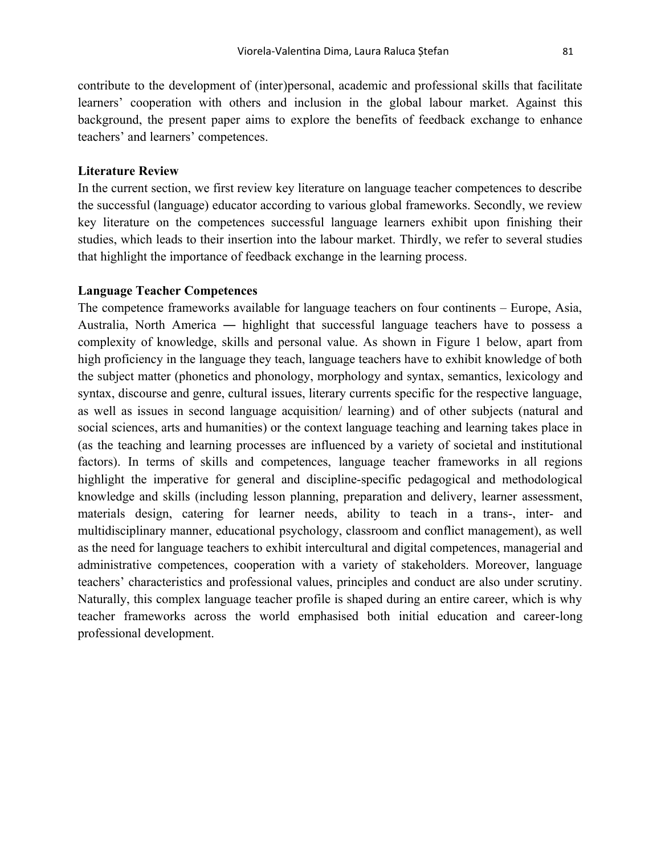contribute to the development of (inter)personal, academic and professional skills that facilitate learners' cooperation with others and inclusion in the global labour market. Against this background, the present paper aims to explore the benefits of feedback exchange to enhance teachers' and learners' competences.

#### **Literature Review**

In the current section, we first review key literature on language teacher competences to describe the successful (language) educator according to various global frameworks. Secondly, we review key literature on the competences successful language learners exhibit upon finishing their studies, which leads to their insertion into the labour market. Thirdly, we refer to several studies that highlight the importance of feedback exchange in the learning process.

## **Language Teacher Competences**

The competence frameworks available for language teachers on four continents – Europe, Asia, Australia, North America ― highlight that successful language teachers have to possess a complexity of knowledge, skills and personal value. As shown in Figure 1 below, apart from high proficiency in the language they teach, language teachers have to exhibit knowledge of both the subject matter (phonetics and phonology, morphology and syntax, semantics, lexicology and syntax, discourse and genre, cultural issues, literary currents specific for the respective language, as well as issues in second language acquisition/ learning) and of other subjects (natural and social sciences, arts and humanities) or the context language teaching and learning takes place in (as the teaching and learning processes are influenced by a variety of societal and institutional factors). In terms of skills and competences, language teacher frameworks in all regions highlight the imperative for general and discipline-specific pedagogical and methodological knowledge and skills (including lesson planning, preparation and delivery, learner assessment, materials design, catering for learner needs, ability to teach in a trans-, inter- and multidisciplinary manner, educational psychology, classroom and conflict management), as well as the need for language teachers to exhibit intercultural and digital competences, managerial and administrative competences, cooperation with a variety of stakeholders. Moreover, language teachers' characteristics and professional values, principles and conduct are also under scrutiny. Naturally, this complex language teacher profile is shaped during an entire career, which is why teacher frameworks across the world emphasised both initial education and career-long professional development.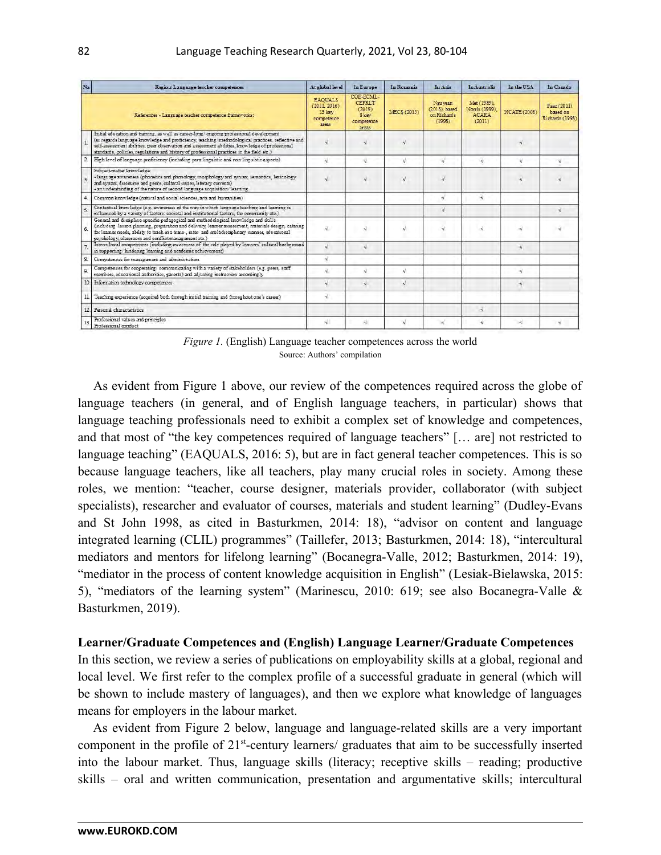| No.            | Region Language teacher competences                                                                                                                                                                                                                                                                                                                                                          | At elobal level                                                 | In Europe                                                             | In Romania  | In Asia                                           | <b>In Australia</b>                                     | In the USA          | In Canada                                  |
|----------------|----------------------------------------------------------------------------------------------------------------------------------------------------------------------------------------------------------------------------------------------------------------------------------------------------------------------------------------------------------------------------------------------|-----------------------------------------------------------------|-----------------------------------------------------------------------|-------------|---------------------------------------------------|---------------------------------------------------------|---------------------|--------------------------------------------|
|                | References - Language teacher competence frameworks:                                                                                                                                                                                                                                                                                                                                         | <b>EAOUALS</b><br>(2011, 2016)<br>13 key<br>competence<br>areas | COE-ECML-<br><b>CEFRLT</b><br>(2019)<br>S low:<br>competence<br>areas | MECS (2015) | Nguyean<br>(2013), based<br>on Richards<br>(1998) | Met (1989).<br>Norris (1999).<br><b>ACARA</b><br>(2011) | <b>NCATE (2008)</b> | Faez (2011)<br>based on<br>Richards (1998) |
|                | Initial education and training, as well as career-long/ongoing professional development<br>(as regards language knowledge and proficiency, teaching/methodological practices, reflective and<br>self-assessment abilities, peer observation and assessment abilities, knowledge of professional<br>standards, policies, regulations and history of professional practices in the field etc.) |                                                                 |                                                                       |             |                                                   |                                                         |                     |                                            |
| $\overline{2}$ | High level of language proficiency (including para-linguistic and non-linguistic aspects)                                                                                                                                                                                                                                                                                                    |                                                                 |                                                                       |             | v.                                                |                                                         |                     |                                            |
| q              | Subject-matter knowledge:<br>- language awareness (phonetics and phonology, morphology and syntax, semantics, lexicology<br>and syntax, discourse and genre, cultural issues, literary currents)<br>- an understanding of the nature of second language acquisition/learning                                                                                                                 |                                                                 |                                                                       |             |                                                   |                                                         |                     |                                            |
|                | Common knowledge (natural and social sciences, arts and humanities)                                                                                                                                                                                                                                                                                                                          |                                                                 |                                                                       |             | $\mathbf{v}^{\mathrm{c}}$                         | ÷.                                                      |                     |                                            |
|                | Contextual knowledge (e.g. awareness of the way in which language teaching and learning is<br>influenced by a variety of factors: societal and institutional factors, the community etc.)                                                                                                                                                                                                    |                                                                 |                                                                       |             |                                                   |                                                         |                     |                                            |
| 6.             | General and discipline-specific pedagogical and methodological knowledge and skills<br>(including lesson planning, preparation and delivery, learner assessment, materials design, catering<br>for learner needs, ability to teach in a trans-, inter- and multidisciplinary manner, educational<br>psychology, classroom and conflict management etc.)                                      | Ñ.                                                              |                                                                       |             |                                                   |                                                         |                     |                                            |
|                | Intercultural competences (including awareness of the role played by learners' cultural background<br>in supporting/hindering learning and academic achievement)                                                                                                                                                                                                                             | J                                                               | 긗                                                                     |             |                                                   |                                                         | ÷J.                 |                                            |
| S.             | Competences for management and administration                                                                                                                                                                                                                                                                                                                                                | J                                                               |                                                                       |             |                                                   |                                                         |                     |                                            |
| 9.             | Competences for cooperating/communicating with a variety of stakeholders (e.g. peers, staff<br>members, educational authorities, parents) and adjusting instruction accordingly                                                                                                                                                                                                              |                                                                 |                                                                       |             |                                                   |                                                         | ×.                  |                                            |
|                | 10. Information technology competences                                                                                                                                                                                                                                                                                                                                                       |                                                                 |                                                                       |             |                                                   |                                                         | ÷,                  |                                            |
|                | Teaching experience (acquired both through initial training and throughout one's career)                                                                                                                                                                                                                                                                                                     | ∛                                                               |                                                                       |             |                                                   |                                                         |                     |                                            |
| 12.            | Personal characteristics                                                                                                                                                                                                                                                                                                                                                                     |                                                                 |                                                                       |             |                                                   | ×.                                                      |                     |                                            |
|                | Professional values and principles<br>Professional conduct                                                                                                                                                                                                                                                                                                                                   | N.                                                              | 枞                                                                     | Ń           |                                                   | ٩l                                                      | a)                  | V                                          |

*Figure 1.* (English) Language teacher competences across the world Source: Authors' compilation

As evident from Figure 1 above, our review of the competences required across the globe of language teachers (in general, and of English language teachers, in particular) shows that language teaching professionals need to exhibit a complex set of knowledge and competences, and that most of "the key competences required of language teachers" [… are] not restricted to language teaching" (EAQUALS, 2016: 5), but are in fact general teacher competences. This is so because language teachers, like all teachers, play many crucial roles in society. Among these roles, we mention: "teacher, course designer, materials provider, collaborator (with subject specialists), researcher and evaluator of courses, materials and student learning" (Dudley-Evans and St John 1998, as cited in Basturkmen, 2014: 18), "advisor on content and language integrated learning (CLIL) programmes" (Taillefer, 2013; Basturkmen, 2014: 18), "intercultural mediators and mentors for lifelong learning" (Bocanegra-Valle, 2012; Basturkmen, 2014: 19), "mediator in the process of content knowledge acquisition in English" (Lesiak-Bielawska, 2015: 5), "mediators of the learning system" (Marinescu, 2010: 619; see also Bocanegra-Valle & Basturkmen, 2019).

#### **Learner/Graduate Competences and (English) Language Learner/Graduate Competences**

In this section, we review a series of publications on employability skills at a global, regional and local level. We first refer to the complex profile of a successful graduate in general (which will be shown to include mastery of languages), and then we explore what knowledge of languages means for employers in the labour market.

As evident from Figure 2 below, language and language-related skills are a very important component in the profile of 21<sup>st</sup>-century learners/ graduates that aim to be successfully inserted into the labour market. Thus, language skills (literacy; receptive skills – reading; productive skills – oral and written communication, presentation and argumentative skills; intercultural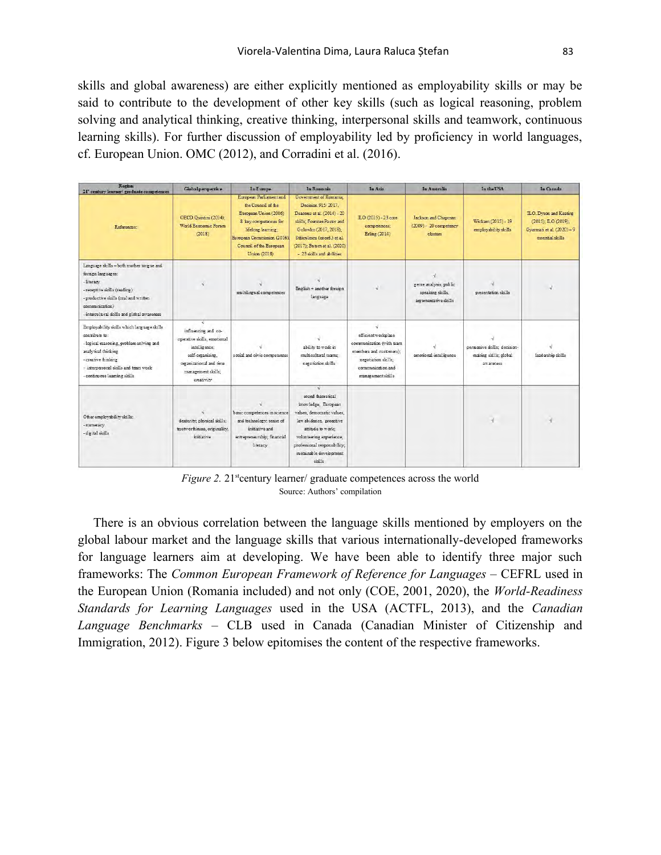skills and global awareness) are either explicitly mentioned as employability skills or may be said to contribute to the development of other key skills (such as logical reasoning, problem solving and analytical thinking, creative thinking, interpersonal skills and teamwork, continuous learning skills). For further discussion of employability led by proficiency in world languages, cf. European Union. OMC (2012), and Corradini et al. (2016).

| <b>Region</b><br>21 century learner/ graduate competences                                                                                                                                                                      | Globalperspective                                                                                                                                               | <b>In Europe</b>                                                                                                                                                                               | In Ronnmia                                                                                                                                                                                                                            | In Asia                                                                                                                                     | In Australia                                                       | In the USA                                                         | In Canada                                                                                     |
|--------------------------------------------------------------------------------------------------------------------------------------------------------------------------------------------------------------------------------|-----------------------------------------------------------------------------------------------------------------------------------------------------------------|------------------------------------------------------------------------------------------------------------------------------------------------------------------------------------------------|---------------------------------------------------------------------------------------------------------------------------------------------------------------------------------------------------------------------------------------|---------------------------------------------------------------------------------------------------------------------------------------------|--------------------------------------------------------------------|--------------------------------------------------------------------|-----------------------------------------------------------------------------------------------|
| References:                                                                                                                                                                                                                    | OECD.Quintini (2014):<br>World Economic Forum<br>(2018)                                                                                                         | European Parliament and<br>the Council of the<br>European Union (2006)<br>8 key competences for<br>lifelong learning:<br>European Commission (2016)<br>Council of the European<br>Union (2018) | Government of Romania.<br>Decision 915/2017.<br>Deaconu et al. (2014) - 20<br>skills: Foerster-Pastor and<br>Golowko (2017, 2018);<br>Stăiculescu (coord.) et al.<br>(2017); Butsm et al. (2020)<br>- 23 skills and abilities         | ILO (2015) - 23 core<br>competences;<br>Erling (2014)                                                                                       | Jackson and Chapman<br>$(2009) - 20$ competency<br>clusters        | Wickam (2015) - 19<br>employability skills                         | ILO. Dyson and Keating<br>(2015): ILO (2019):<br>Gyarmati et al. (2020)-9<br>essential skills |
| Language skills -both mother tongue and<br>foreign languages:<br>-literacy<br>- receptive skills (reading)<br>- productive skills (oral and written<br>communication)<br>- intercultural skills and global awareness           | Ń                                                                                                                                                               | multilingual competences                                                                                                                                                                       | English + another foreign<br>language                                                                                                                                                                                                 | V                                                                                                                                           | genre analysis; public<br>speaking skills.<br>argumentative skills | presentation skills                                                |                                                                                               |
| Employability skills which language skills<br>contribute to:<br>- logical reasoning, problem solving and<br>analytical thinking<br>- creative thinking<br>- interpersonal skills and team work<br>- continuous learning skills | $\sim$<br>influencing and co-<br>operative skills, emotional<br>intelligence:<br>self-organising.<br>oganizational and time<br>management skills:<br>creativity | social and civic competences                                                                                                                                                                   | ability to work in<br>multicultural teams:<br>negotiation skills                                                                                                                                                                      | efficient workplace<br>communication (with team<br>members and customers):<br>negotiation skills;<br>communication and<br>management skills | emotional intelligence                                             | persuasive skills; decision-<br>making skills; global<br>awareness | leadership skills                                                                             |
| Other employability skills:<br>- numeracy<br>- digital skills                                                                                                                                                                  | dexterity, physical skills;<br>trustworthiness, originality;<br>initiative                                                                                      | basic competences in science<br>and technology; sense of<br>initiative and<br>entrepreneurship; financial<br>literacy                                                                          | $\sqrt{ }$<br>sound theoretical<br>knowledge; European<br>values, democratic values.<br>law abidance, proactive<br>attitude to work:<br>volunteering experience;<br>professional responsibility;<br>sustainable development<br>skills |                                                                                                                                             |                                                                    |                                                                    |                                                                                               |

*Figure 2.* 21<sup>st</sup>century learner/ graduate competences across the world Source: Authors' compilation

There is an obvious correlation between the language skills mentioned by employers on the global labour market and the language skills that various internationally-developed frameworks for language learners aim at developing. We have been able to identify three major such frameworks: The *Common European Framework of Reference for Languages –* CEFRL used in the European Union (Romania included) and not only (COE, 2001, 2020), the *World-Readiness Standards for Learning Languages* used in the USA (ACTFL, 2013), and the *Canadian Language Benchmarks –* CLB used in Canada (Canadian Minister of Citizenship and Immigration, 2012). Figure 3 below epitomises the content of the respective frameworks.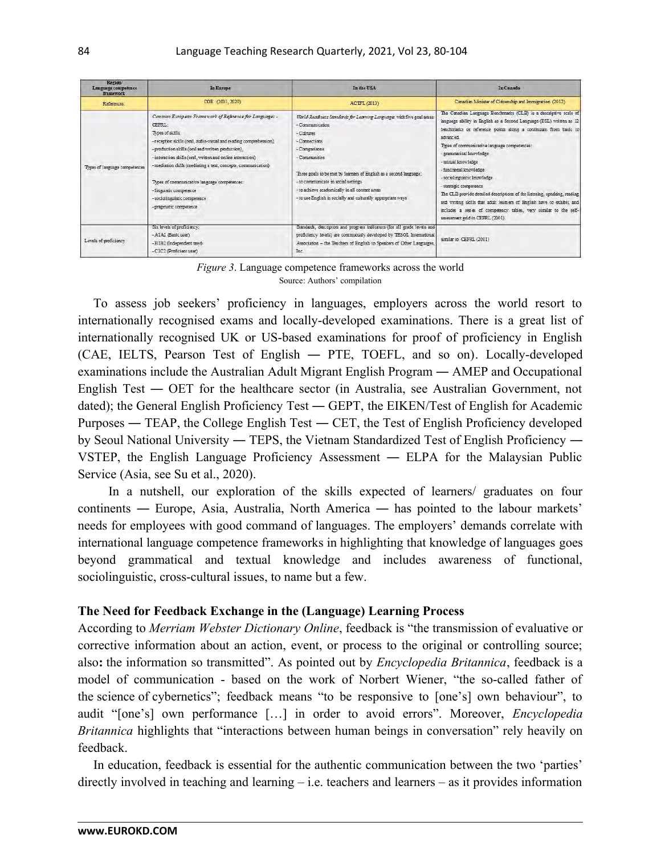| <b>Region</b><br>Language competence<br><b>framework</b> | In Europe                                                                                                                                                                                                                                                                                                                                                                                                                                                                              | In the USA                                                                                                                                                                                                                                                                                                                                                                                | In Canada                                                                                                                                                                                                                                                                                                                                                                                                                                                                                                                                                                                                                                                                   |
|----------------------------------------------------------|----------------------------------------------------------------------------------------------------------------------------------------------------------------------------------------------------------------------------------------------------------------------------------------------------------------------------------------------------------------------------------------------------------------------------------------------------------------------------------------|-------------------------------------------------------------------------------------------------------------------------------------------------------------------------------------------------------------------------------------------------------------------------------------------------------------------------------------------------------------------------------------------|-----------------------------------------------------------------------------------------------------------------------------------------------------------------------------------------------------------------------------------------------------------------------------------------------------------------------------------------------------------------------------------------------------------------------------------------------------------------------------------------------------------------------------------------------------------------------------------------------------------------------------------------------------------------------------|
| References:                                              | COE (2001, 2020)                                                                                                                                                                                                                                                                                                                                                                                                                                                                       | ACTFL (2013)                                                                                                                                                                                                                                                                                                                                                                              | Canadian Minister of Citizenship and Immigration. (2012)                                                                                                                                                                                                                                                                                                                                                                                                                                                                                                                                                                                                                    |
| Types of language competences                            | Common European Framework of Reference for Languages -<br>CEFRI.<br>Types of skills:<br>- reception skills (oral, audio-visual and reading comprehension),<br>- production skills (oral and written production),<br>- interaction skills (oral, written and online interaction)<br>- mediation skills (mediating a text, concepts, communication)<br>Types of communicative language competences:<br>- linguistic competence<br>- sociolinguistic competence<br>- pragmatic competence | World-Readiness Standards for Learning Languages with five goal areas:<br>- Communication<br>- Cultures<br>- Connections<br>- Comparisons<br>- Communities<br>Three goals to be met by learners of English as a second language:<br>- to communicate in social settings<br>- to achieve academically in all content areas<br>- to use English in socially and culturally appropriate ways | The Canadian Language Benchmarks (CLB) is a descriptive scale of<br>language ability in English as a Second Language (ESL) written as 12<br>benchmarks or reference points along a continuum from basic to<br>sdranced<br>Types of communicative language competences:<br>- grammatical knowledge<br>- textual knowledge<br>- functional knowledge<br>- sociolinguistic knowledge<br>- strategic competence<br>The CLB provide detailed descriptions of the listening, speaking, reading<br>and writing skills that adult learners of English have to exhibit, and<br>includes a series of competency tables, very similar to the self-<br>assessment grid in CEFRL (2001). |
| Levels of proficiency                                    | Six levels of proficiency:<br>- A1A2 (Basic user)<br>- BIB2 (Independent user)<br>- CIC2 (Proficient user)                                                                                                                                                                                                                                                                                                                                                                             | Standards, descriptors and progress indicators (for all grade levels and<br>proficiency levels) are continuously developed by TESOL International<br>Association - the Teachers of English to Speakers of Other Languages,<br>Inc.                                                                                                                                                        | similar to CEFRL (2001)                                                                                                                                                                                                                                                                                                                                                                                                                                                                                                                                                                                                                                                     |



To assess job seekers' proficiency in languages, employers across the world resort to internationally recognised exams and locally-developed examinations. There is a great list of internationally recognised UK or US-based examinations for proof of proficiency in English (CAE, IELTS, Pearson Test of English ― PTE, TOEFL, and so on). Locally-developed examinations include the Australian Adult Migrant English Program ― AMEP and Occupational English Test ― OET for the healthcare sector (in Australia, see Australian Government, not dated); the General English Proficiency Test ― GEPT, the EIKEN/Test of English for Academic Purposes ― TEAP, the College English Test ― CET, the Test of English Proficiency developed by Seoul National University ― TEPS, the Vietnam Standardized Test of English Proficiency ― VSTEP, the English Language Proficiency Assessment ― ELPA for the Malaysian Public Service (Asia, see Su et al., 2020).

In a nutshell, our exploration of the skills expected of learners/ graduates on four continents ― Europe, Asia, Australia, North America ― has pointed to the labour markets' needs for employees with good command of languages. The employers' demands correlate with international language competence frameworks in highlighting that knowledge of languages goes beyond grammatical and textual knowledge and includes awareness of functional, sociolinguistic, cross-cultural issues, to name but a few.

#### **The Need for Feedback Exchange in the (Language) Learning Process**

According to *Merriam Webster Dictionary Online*, feedback is "the transmission of evaluative or corrective information about an action, event, or process to the original or controlling source; also**:** the information so transmitted". As pointed out by *Encyclopedia Britannica*, feedback is a model of communication - based on the work of Norbert Wiener, "the so-called father of the science of cybernetics"; feedback means "to be responsive to [one's] own behaviour", to audit "[one's] own performance […] in order to avoid errors". Moreover, *Encyclopedia Britannica* highlights that "interactions between human beings in conversation" rely heavily on feedback.

In education, feedback is essential for the authentic communication between the two 'parties' directly involved in teaching and learning  $-$  i.e. teachers and learners  $-$  as it provides information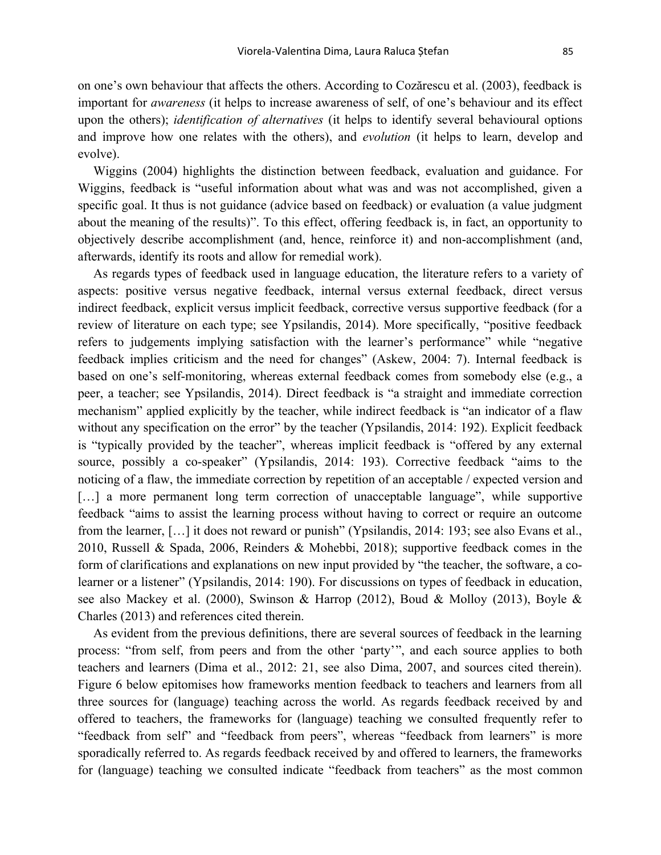on one's own behaviour that affects the others. According to Cozărescu et al. (2003), feedback is important for *awareness* (it helps to increase awareness of self, of one's behaviour and its effect upon the others); *identification of alternatives* (it helps to identify several behavioural options and improve how one relates with the others), and *evolution* (it helps to learn, develop and evolve).

Wiggins (2004) highlights the distinction between feedback, evaluation and guidance. For Wiggins, feedback is "useful information about what was and was not accomplished, given a specific goal. It thus is not guidance (advice based on feedback) or evaluation (a value judgment about the meaning of the results)". To this effect, offering feedback is, in fact, an opportunity to objectively describe accomplishment (and, hence, reinforce it) and non-accomplishment (and, afterwards, identify its roots and allow for remedial work).

As regards types of feedback used in language education, the literature refers to a variety of aspects: positive versus negative feedback, internal versus external feedback, direct versus indirect feedback, explicit versus implicit feedback, corrective versus supportive feedback (for a review of literature on each type; see Ypsilandis, 2014). More specifically, "positive feedback refers to judgements implying satisfaction with the learner's performance" while "negative feedback implies criticism and the need for changes" (Askew, 2004: 7). Internal feedback is based on one's self-monitoring, whereas external feedback comes from somebody else (e.g., a peer, a teacher; see Ypsilandis, 2014). Direct feedback is "a straight and immediate correction mechanism" applied explicitly by the teacher, while indirect feedback is "an indicator of a flaw without any specification on the error" by the teacher (Ypsilandis, 2014: 192). Explicit feedback is "typically provided by the teacher", whereas implicit feedback is "offered by any external source, possibly a co-speaker" (Ypsilandis, 2014: 193). Corrective feedback "aims to the noticing of a flaw, the immediate correction by repetition of an acceptable / expected version and [...] a more permanent long term correction of unacceptable language", while supportive feedback "aims to assist the learning process without having to correct or require an outcome from the learner, […] it does not reward or punish" (Ypsilandis, 2014: 193; see also Evans et al., 2010, Russell & Spada, 2006, Reinders & Mohebbi, 2018); supportive feedback comes in the form of clarifications and explanations on new input provided by "the teacher, the software, a colearner or a listener" (Ypsilandis, 2014: 190). For discussions on types of feedback in education, see also Mackey et al. (2000), Swinson & Harrop (2012), Boud & Molloy (2013), Boyle & Charles (2013) and references cited therein.

As evident from the previous definitions, there are several sources of feedback in the learning process: "from self, from peers and from the other 'party'", and each source applies to both teachers and learners (Dima et al., 2012: 21, see also Dima, 2007, and sources cited therein). Figure 6 below epitomises how frameworks mention feedback to teachers and learners from all three sources for (language) teaching across the world. As regards feedback received by and offered to teachers, the frameworks for (language) teaching we consulted frequently refer to "feedback from self" and "feedback from peers", whereas "feedback from learners" is more sporadically referred to. As regards feedback received by and offered to learners, the frameworks for (language) teaching we consulted indicate "feedback from teachers" as the most common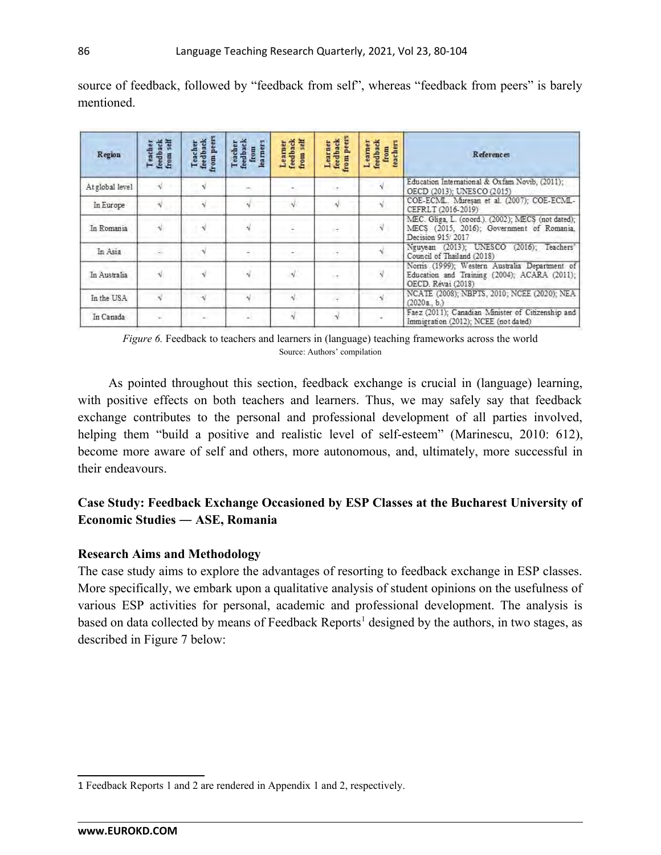| Region          | feedback<br>from self<br>Teacher<br>from | from peers<br>Teacher<br>feedback | feedback<br>learners<br>Teacher<br>from | self<br>feedback<br>from self<br>Learner | from peers<br>feedback<br>Learner | feedback<br>Learner<br>teachers<br>from | <b>References</b>                                                                                                    |
|-----------------|------------------------------------------|-----------------------------------|-----------------------------------------|------------------------------------------|-----------------------------------|-----------------------------------------|----------------------------------------------------------------------------------------------------------------------|
| At global level |                                          |                                   |                                         |                                          |                                   |                                         | Education International & Oxfam Novib. (2011):<br>OECD (2013); UNESCO (2015)                                         |
| In Europe       |                                          |                                   |                                         |                                          |                                   |                                         | COE-ECML. Muresan et al. (2007); COE-ECML-<br>CEFRLT (2016-2019)                                                     |
| In Romania      |                                          |                                   |                                         |                                          |                                   |                                         | MEC. Gliga, L. (coord.). (2002); MECS (not dated);<br>MECS (2015, 2016); Government of Romania.<br>Decision 915/2017 |
| In Asia         |                                          |                                   |                                         |                                          |                                   |                                         | Nguyean (2013); UNESCO (2016); Teachers'<br>Council of Thailand (2018)                                               |
| In Australia    |                                          |                                   |                                         |                                          | i t                               |                                         | Norris (1999); Western Australia Department of<br>Education and Training (2004); ACARA (2011);<br>OECD. Révai (2018) |
| In the USA      | ×ī                                       |                                   | v                                       |                                          | $\overline{a}$                    |                                         | NCATE (2008); NBPTS, 2010; NCEE (2020); NEA<br>(2020a, b)                                                            |
| In Canada       |                                          |                                   |                                         |                                          |                                   |                                         | Faez (2011); Canadian Minister of Citizenship and<br>Immigration (2012); NCEE (not dated)                            |

source of feedback, followed by "feedback from self", whereas "feedback from peers" is barely mentioned.

*Figure 6.* Feedback to teachers and learners in (language) teaching frameworks across the world Source: Authors' compilation

As pointed throughout this section, feedback exchange is crucial in (language) learning, with positive effects on both teachers and learners. Thus, we may safely say that feedback exchange contributes to the personal and professional development of all parties involved, helping them "build a positive and realistic level of self-esteem" (Marinescu, 2010: 612), become more aware of self and others, more autonomous, and, ultimately, more successful in their endeavours.

# **Case Study: Feedback Exchange Occasioned by ESP Classes at the Bucharest University of Economic Studies ― ASE, Romania**

# **Research Aims and Methodology**

The case study aims to explore the advantages of resorting to feedback exchange in ESP classes. More specifically, we embark upon a qualitative analysis of student opinions on the usefulness of various ESP activities for personal, academic and professional development. The analysis is based on data collected by means of Feedback Reports<sup>[1](#page-6-0)</sup> designed by the authors, in two stages, as described in Figure 7 below:

<span id="page-6-0"></span><sup>1</sup> Feedback Reports 1 and 2 are rendered in Appendix 1 and 2, respectively.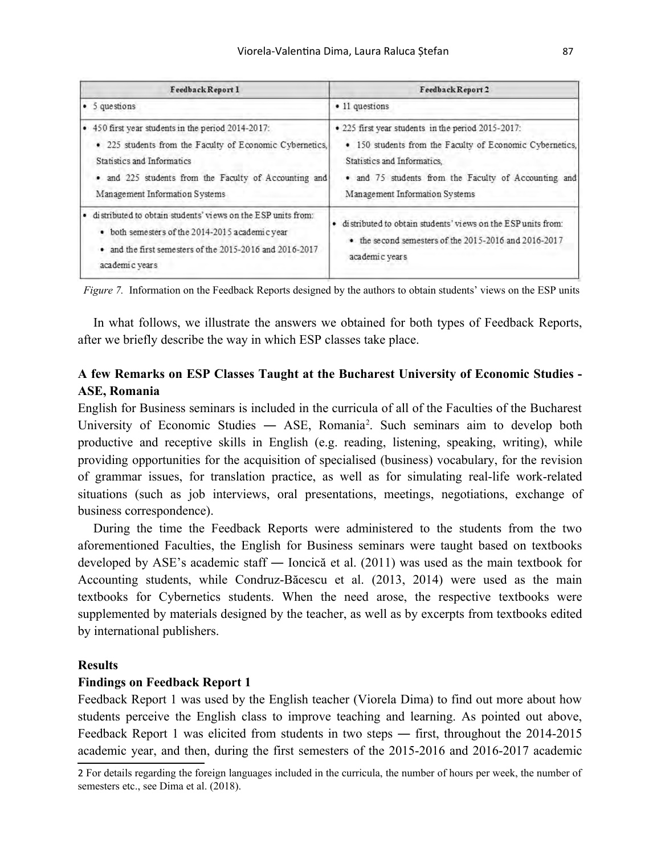| Feedback Report 1                                            | Feedback Report 2                                            |  |  |
|--------------------------------------------------------------|--------------------------------------------------------------|--|--|
| $\bullet$ 5 questions                                        | • 11 questions                                               |  |  |
| • 450 first year students in the period 2014-2017:           | . 225 first year students in the period 2015-2017:           |  |  |
| • 225 students from the Faculty of Economic Cybernetics,     | • 150 students from the Faculty of Economic Cybernetics,     |  |  |
| Statistics and Informatics                                   | Statistics and Informatics.                                  |  |  |
| • and 225 students from the Faculty of Accounting and        | · and 75 students from the Faculty of Accounting and         |  |  |
| Management Information Systems                               | Management Information Systems                               |  |  |
| distributed to obtain students' views on the ESP units from: | distributed to obtain students' views on the ESP units from: |  |  |
| • both semesters of the 2014-2015 academic vear              | ٠                                                            |  |  |
| • and the first semesters of the 2015-2016 and 2016-2017     | • the second semesters of the 2015-2016 and 2016-2017        |  |  |
| academic years                                               | academic years                                               |  |  |

 *Figure 7.* Information on the Feedback Reports designed by the authors to obtain students' views on the ESP units

In what follows, we illustrate the answers we obtained for both types of Feedback Reports, after we briefly describe the way in which ESP classes take place.

# **A few Remarks on ESP Classes Taught at the Bucharest University of Economic Studies - ASE, Romania**

English for Business seminars is included in the curricula of all of the Faculties of the Bucharest University of Economic Studies — ASE, Romania<sup>[2](#page-7-0)</sup>. Such seminars aim to develop both productive and receptive skills in English (e.g. reading, listening, speaking, writing), while providing opportunities for the acquisition of specialised (business) vocabulary, for the revision of grammar issues, for translation practice, as well as for simulating real-life work-related situations (such as job interviews, oral presentations, meetings, negotiations, exchange of business correspondence).

During the time the Feedback Reports were administered to the students from the two aforementioned Faculties, the English for Business seminars were taught based on textbooks developed by ASE's academic staff ― Ioncică et al. (2011) was used as the main textbook for Accounting students, while Condruz-Băcescu et al. (2013, 2014) were used as the main textbooks for Cybernetics students. When the need arose, the respective textbooks were supplemented by materials designed by the teacher, as well as by excerpts from textbooks edited by international publishers.

#### **Results**

#### **Findings on Feedback Report 1**

Feedback Report 1 was used by the English teacher (Viorela Dima) to find out more about how students perceive the English class to improve teaching and learning. As pointed out above, Feedback Report 1 was elicited from students in two steps ― first, throughout the 2014-2015 academic year, and then, during the first semesters of the 2015-2016 and 2016-2017 academic

<span id="page-7-0"></span><sup>2</sup> For details regarding the foreign languages included in the curricula, the number of hours per week, the number of semesters etc., see Dima et al. (2018).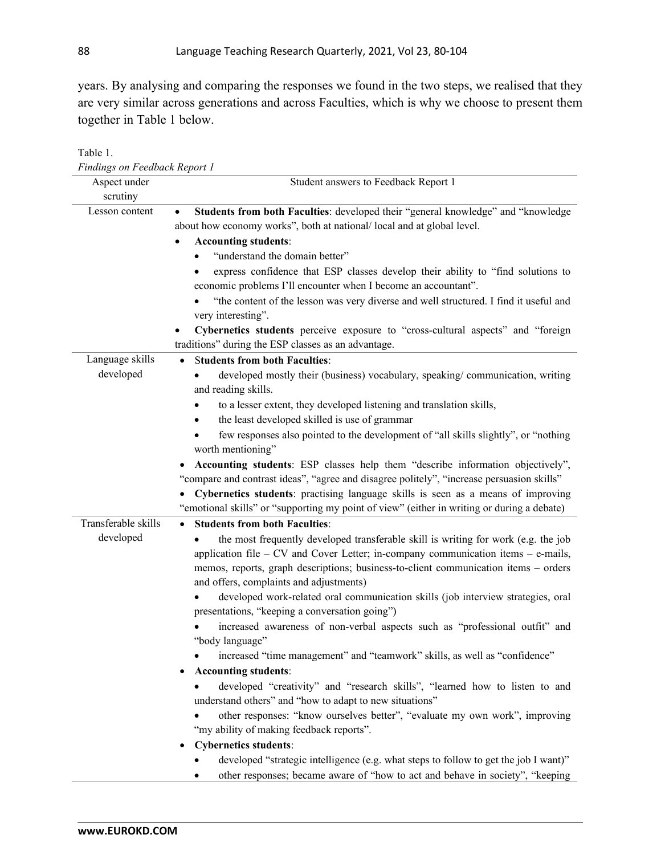years. By analysing and comparing the responses we found in the two steps, we realised that they are very similar across generations and across Faculties, which is why we choose to present them together in Table 1 below.

| Findings on Feedback Report 1    |                                                                                                                                                                                                                                                                                                                                                                                                                                                                                                                                                                                                                                                                                                                                                                                                                                                                                                                                                                                                                                                                                                                                                                                                        |  |  |
|----------------------------------|--------------------------------------------------------------------------------------------------------------------------------------------------------------------------------------------------------------------------------------------------------------------------------------------------------------------------------------------------------------------------------------------------------------------------------------------------------------------------------------------------------------------------------------------------------------------------------------------------------------------------------------------------------------------------------------------------------------------------------------------------------------------------------------------------------------------------------------------------------------------------------------------------------------------------------------------------------------------------------------------------------------------------------------------------------------------------------------------------------------------------------------------------------------------------------------------------------|--|--|
| Aspect under<br>scrutiny         | Student answers to Feedback Report 1                                                                                                                                                                                                                                                                                                                                                                                                                                                                                                                                                                                                                                                                                                                                                                                                                                                                                                                                                                                                                                                                                                                                                                   |  |  |
| Lesson content                   | Students from both Faculties: developed their "general knowledge" and "knowledge<br>about how economy works", both at national/local and at global level.<br><b>Accounting students:</b><br>"understand the domain better"<br>express confidence that ESP classes develop their ability to "find solutions to<br>economic problems I'll encounter when I become an accountant".<br>"the content of the lesson was very diverse and well structured. I find it useful and<br>very interesting".<br>Cybernetics students perceive exposure to "cross-cultural aspects" and "foreign<br>traditions" during the ESP classes as an advantage.                                                                                                                                                                                                                                                                                                                                                                                                                                                                                                                                                               |  |  |
| Language skills<br>developed     | <b>Students from both Faculties:</b><br>$\bullet$<br>developed mostly their (business) vocabulary, speaking/communication, writing<br>and reading skills.<br>to a lesser extent, they developed listening and translation skills,<br>the least developed skilled is use of grammar<br>٠<br>few responses also pointed to the development of "all skills slightly", or "nothing<br>worth mentioning"<br>Accounting students: ESP classes help them "describe information objectively",<br>"compare and contrast ideas", "agree and disagree politely", "increase persuasion skills"<br>Cybernetics students: practising language skills is seen as a means of improving<br>"emotional skills" or "supporting my point of view" (either in writing or during a debate)                                                                                                                                                                                                                                                                                                                                                                                                                                   |  |  |
| Transferable skills<br>developed | <b>Students from both Faculties:</b><br>$\bullet$<br>the most frequently developed transferable skill is writing for work (e.g. the job<br>application file - CV and Cover Letter; in-company communication items - e-mails,<br>memos, reports, graph descriptions; business-to-client communication items - orders<br>and offers, complaints and adjustments)<br>developed work-related oral communication skills (job interview strategies, oral<br>presentations, "keeping a conversation going")<br>increased awareness of non-verbal aspects such as "professional outfit" and<br>"body language"<br>increased "time management" and "teamwork" skills, as well as "confidence"<br><b>Accounting students:</b><br>٠<br>developed "creativity" and "research skills", "learned how to listen to and<br>understand others" and "how to adapt to new situations"<br>other responses: "know ourselves better", "evaluate my own work", improving<br>"my ability of making feedback reports".<br><b>Cybernetics students:</b><br>developed "strategic intelligence (e.g. what steps to follow to get the job I want)"<br>other responses; became aware of "how to act and behave in society", "keeping |  |  |

Table 1.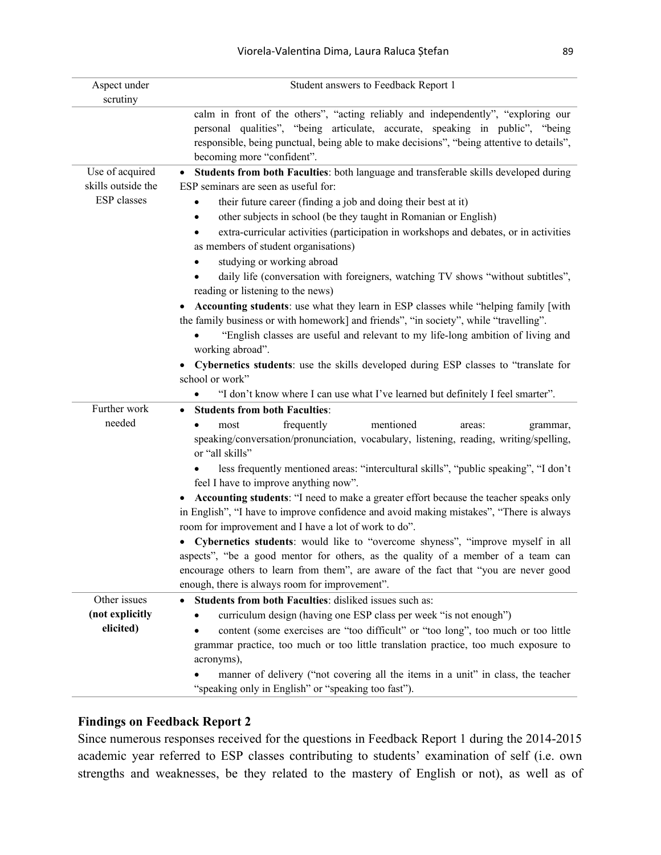| Aspect under<br>scrutiny | Student answers to Feedback Report 1                                                                                                                                                                                                                                                          |
|--------------------------|-----------------------------------------------------------------------------------------------------------------------------------------------------------------------------------------------------------------------------------------------------------------------------------------------|
|                          | calm in front of the others", "acting reliably and independently", "exploring our<br>personal qualities", "being articulate, accurate, speaking in public", "being<br>responsible, being punctual, being able to make decisions", "being attentive to details",<br>becoming more "confident". |
| Use of acquired          | Students from both Faculties: both language and transferable skills developed during<br>$\bullet$                                                                                                                                                                                             |
| skills outside the       | ESP seminars are seen as useful for:                                                                                                                                                                                                                                                          |
| ESP classes              | their future career (finding a job and doing their best at it)                                                                                                                                                                                                                                |
|                          | other subjects in school (be they taught in Romanian or English)<br>٠                                                                                                                                                                                                                         |
|                          | extra-curricular activities (participation in workshops and debates, or in activities<br>as members of student organisations)                                                                                                                                                                 |
|                          | studying or working abroad                                                                                                                                                                                                                                                                    |
|                          | daily life (conversation with foreigners, watching TV shows "without subtitles",<br>reading or listening to the news)                                                                                                                                                                         |
|                          | Accounting students: use what they learn in ESP classes while "helping family [with<br>the family business or with homework] and friends", "in society", while "travelling".<br>"English classes are useful and relevant to my life-long ambition of living and                               |
|                          | working abroad".                                                                                                                                                                                                                                                                              |
|                          | Cybernetics students: use the skills developed during ESP classes to "translate for<br>$\bullet$<br>school or work"                                                                                                                                                                           |
|                          | "I don't know where I can use what I've learned but definitely I feel smarter".                                                                                                                                                                                                               |
| Further work             | <b>Students from both Faculties:</b><br>٠                                                                                                                                                                                                                                                     |
| needed                   | frequently<br>mentioned<br>most<br>areas:<br>grammar,                                                                                                                                                                                                                                         |
|                          | speaking/conversation/pronunciation, vocabulary, listening, reading, writing/spelling,<br>or "all skills"                                                                                                                                                                                     |
|                          | less frequently mentioned areas: "intercultural skills", "public speaking", "I don't<br>feel I have to improve anything now".                                                                                                                                                                 |
|                          | Accounting students: "I need to make a greater effort because the teacher speaks only                                                                                                                                                                                                         |
|                          | in English", "I have to improve confidence and avoid making mistakes", "There is always<br>room for improvement and I have a lot of work to do".                                                                                                                                              |
|                          | Cybernetics students: would like to "overcome shyness", "improve myself in all                                                                                                                                                                                                                |
|                          | aspects", "be a good mentor for others, as the quality of a member of a team can                                                                                                                                                                                                              |
|                          | encourage others to learn from them", are aware of the fact that "you are never good                                                                                                                                                                                                          |
|                          | enough, there is always room for improvement".                                                                                                                                                                                                                                                |
| Other issues             | <b>Students from both Faculties:</b> disliked issues such as:<br>$\bullet$                                                                                                                                                                                                                    |
| (not explicitly          | curriculum design (having one ESP class per week "is not enough")                                                                                                                                                                                                                             |
| elicited)                | content (some exercises are "too difficult" or "too long", too much or too little                                                                                                                                                                                                             |
|                          | grammar practice, too much or too little translation practice, too much exposure to<br>acronyms),                                                                                                                                                                                             |
|                          | manner of delivery ("not covering all the items in a unit" in class, the teacher                                                                                                                                                                                                              |
|                          | "speaking only in English" or "speaking too fast").                                                                                                                                                                                                                                           |

#### **Findings on Feedback Report 2**

Since numerous responses received for the questions in Feedback Report 1 during the 2014-2015 academic year referred to ESP classes contributing to students' examination of self (i.e. own strengths and weaknesses, be they related to the mastery of English or not), as well as of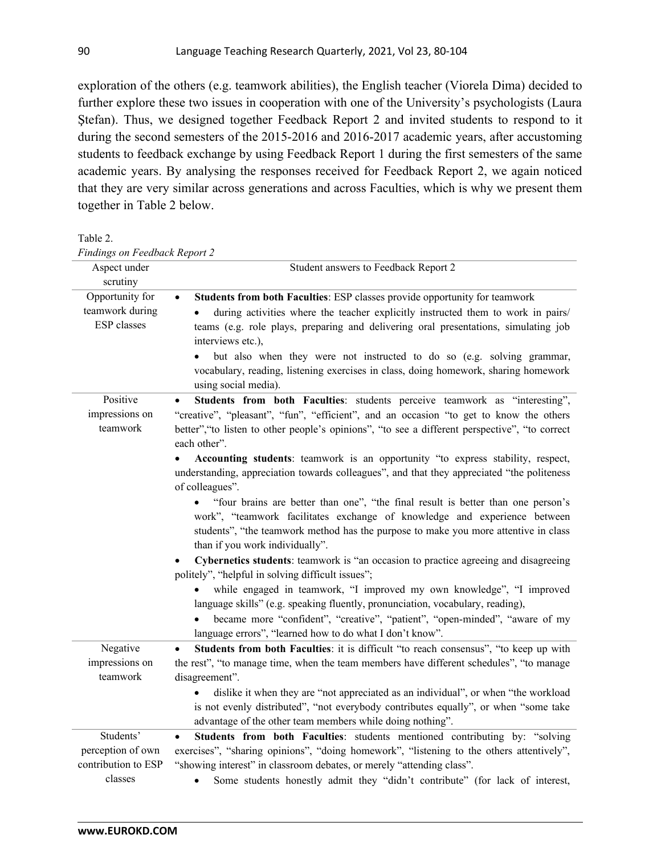exploration of the others (e.g. teamwork abilities), the English teacher (Viorela Dima) decided to further explore these two issues in cooperation with one of the University's psychologists (Laura Ştefan). Thus, we designed together Feedback Report 2 and invited students to respond to it during the second semesters of the 2015-2016 and 2016-2017 academic years, after accustoming students to feedback exchange by using Feedback Report 1 during the first semesters of the same academic years. By analysing the responses received for Feedback Report 2, we again noticed that they are very similar across generations and across Faculties, which is why we present them together in Table 2 below.

Table 2. *Findings on Feedback Report 2*

| Aspect under<br>scrutiny                                 | Student answers to Feedback Report 2                                                                                                                                                                                                                                                                                                                 |
|----------------------------------------------------------|------------------------------------------------------------------------------------------------------------------------------------------------------------------------------------------------------------------------------------------------------------------------------------------------------------------------------------------------------|
| Opportunity for<br>teamwork during<br><b>ESP</b> classes | Students from both Faculties: ESP classes provide opportunity for teamwork<br>during activities where the teacher explicitly instructed them to work in pairs/<br>teams (e.g. role plays, preparing and delivering oral presentations, simulating job<br>interviews etc.),<br>but also when they were not instructed to do so (e.g. solving grammar, |
|                                                          | vocabulary, reading, listening exercises in class, doing homework, sharing homework<br>using social media).                                                                                                                                                                                                                                          |
| Positive<br>impressions on<br>teamwork                   | Students from both Faculties: students perceive teamwork as "interesting",<br>"creative", "pleasant", "fun", "efficient", and an occasion "to get to know the others<br>better", "to listen to other people's opinions", "to see a different perspective", "to correct<br>each other".                                                               |
|                                                          | Accounting students: teamwork is an opportunity "to express stability, respect,<br>understanding, appreciation towards colleagues", and that they appreciated "the politeness<br>of colleagues".                                                                                                                                                     |
|                                                          | "four brains are better than one", "the final result is better than one person's<br>work", "teamwork facilitates exchange of knowledge and experience between<br>students", "the teamwork method has the purpose to make you more attentive in class<br>than if you work individually".                                                              |
|                                                          | Cybernetics students: teamwork is "an occasion to practice agreeing and disagreeing<br>politely", "helpful in solving difficult issues";                                                                                                                                                                                                             |
|                                                          | while engaged in teamwork, "I improved my own knowledge", "I improved<br>language skills" (e.g. speaking fluently, pronunciation, vocabulary, reading),                                                                                                                                                                                              |
|                                                          | became more "confident", "creative", "patient", "open-minded", "aware of my<br>language errors", "learned how to do what I don't know".                                                                                                                                                                                                              |
| Negative<br>impressions on<br>teamwork                   | Students from both Faculties: it is difficult "to reach consensus", "to keep up with<br>the rest", "to manage time, when the team members have different schedules", "to manage<br>disagreement".                                                                                                                                                    |
|                                                          | dislike it when they are "not appreciated as an individual", or when "the workload<br>is not evenly distributed", "not everybody contributes equally", or when "some take<br>advantage of the other team members while doing nothing".                                                                                                               |
| Students'<br>perception of own<br>contribution to ESP    | Students from both Faculties: students mentioned contributing by: "solving<br>exercises", "sharing opinions", "doing homework", "listening to the others attentively",<br>"showing interest" in classroom debates, or merely "attending class".                                                                                                      |
| classes                                                  | Some students honestly admit they "didn't contribute" (for lack of interest,<br>$\bullet$                                                                                                                                                                                                                                                            |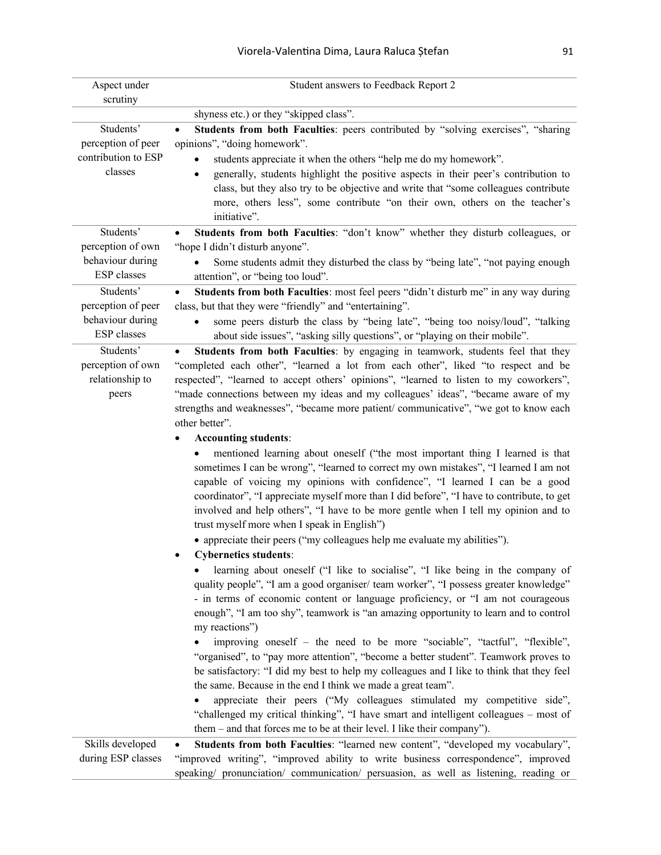| Aspect under<br>scrutiny                                          | Student answers to Feedback Report 2                                                                                                                                                                                                                                                                                                                                                                                                                                                                                                                                                                                                                                                                                                                                                                                                                                                                                                               |
|-------------------------------------------------------------------|----------------------------------------------------------------------------------------------------------------------------------------------------------------------------------------------------------------------------------------------------------------------------------------------------------------------------------------------------------------------------------------------------------------------------------------------------------------------------------------------------------------------------------------------------------------------------------------------------------------------------------------------------------------------------------------------------------------------------------------------------------------------------------------------------------------------------------------------------------------------------------------------------------------------------------------------------|
|                                                                   | shyness etc.) or they "skipped class".                                                                                                                                                                                                                                                                                                                                                                                                                                                                                                                                                                                                                                                                                                                                                                                                                                                                                                             |
| Students'<br>perception of peer<br>contribution to ESP<br>classes | Students from both Faculties: peers contributed by "solving exercises", "sharing<br>opinions", "doing homework".<br>students appreciate it when the others "help me do my homework".<br>generally, students highlight the positive aspects in their peer's contribution to<br>٠<br>class, but they also try to be objective and write that "some colleagues contribute<br>more, others less", some contribute "on their own, others on the teacher's                                                                                                                                                                                                                                                                                                                                                                                                                                                                                               |
|                                                                   | initiative".                                                                                                                                                                                                                                                                                                                                                                                                                                                                                                                                                                                                                                                                                                                                                                                                                                                                                                                                       |
| Students'<br>perception of own<br>behaviour during<br>ESP classes | Students from both Faculties: "don't know" whether they disturb colleagues, or<br>$\bullet$<br>"hope I didn't disturb anyone".<br>Some students admit they disturbed the class by "being late", "not paying enough<br>attention", or "being too loud".                                                                                                                                                                                                                                                                                                                                                                                                                                                                                                                                                                                                                                                                                             |
| Students'                                                         | Students from both Faculties: most feel peers "didn't disturb me" in any way during<br>$\bullet$                                                                                                                                                                                                                                                                                                                                                                                                                                                                                                                                                                                                                                                                                                                                                                                                                                                   |
| perception of peer<br>behaviour during<br><b>ESP</b> classes      | class, but that they were "friendly" and "entertaining".<br>some peers disturb the class by "being late", "being too noisy/loud", "talking<br>$\bullet$<br>about side issues", "asking silly questions", or "playing on their mobile".                                                                                                                                                                                                                                                                                                                                                                                                                                                                                                                                                                                                                                                                                                             |
| Students'<br>perception of own<br>relationship to<br>peers        | Students from both Faculties: by engaging in teamwork, students feel that they<br>"completed each other", "learned a lot from each other", liked "to respect and be<br>respected", "learned to accept others' opinions", "learned to listen to my coworkers",<br>"made connections between my ideas and my colleagues' ideas", "became aware of my<br>strengths and weaknesses", "became more patient/ communicative", "we got to know each<br>other better".                                                                                                                                                                                                                                                                                                                                                                                                                                                                                      |
|                                                                   | <b>Accounting students:</b>                                                                                                                                                                                                                                                                                                                                                                                                                                                                                                                                                                                                                                                                                                                                                                                                                                                                                                                        |
|                                                                   | mentioned learning about oneself ("the most important thing I learned is that<br>sometimes I can be wrong", "learned to correct my own mistakes", "I learned I am not<br>capable of voicing my opinions with confidence", "I learned I can be a good<br>coordinator", "I appreciate myself more than I did before", "I have to contribute, to get<br>involved and help others", "I have to be more gentle when I tell my opinion and to<br>trust myself more when I speak in English")<br>• appreciate their peers ("my colleagues help me evaluate my abilities").<br><b>Cybernetics students:</b>                                                                                                                                                                                                                                                                                                                                                |
|                                                                   | learning about oneself ("I like to socialise", "I like being in the company of<br>quality people", "I am a good organiser/ team worker", "I possess greater knowledge"<br>- in terms of economic content or language proficiency, or "I am not courageous<br>enough", "I am too shy", teamwork is "an amazing opportunity to learn and to control<br>my reactions")<br>improving oneself - the need to be more "sociable", "tactful", "flexible",<br>"organised", to "pay more attention", "become a better student". Teamwork proves to<br>be satisfactory: "I did my best to help my colleagues and I like to think that they feel<br>the same. Because in the end I think we made a great team".<br>appreciate their peers ("My colleagues stimulated my competitive side",<br>"challenged my critical thinking", "I have smart and intelligent colleagues - most of<br>them – and that forces me to be at their level. I like their company"). |
| Skills developed<br>during ESP classes                            | Students from both Faculties: "learned new content", "developed my vocabulary",<br>"improved writing", "improved ability to write business correspondence", improved<br>speaking/ pronunciation/ communication/ persuasion, as well as listening, reading or                                                                                                                                                                                                                                                                                                                                                                                                                                                                                                                                                                                                                                                                                       |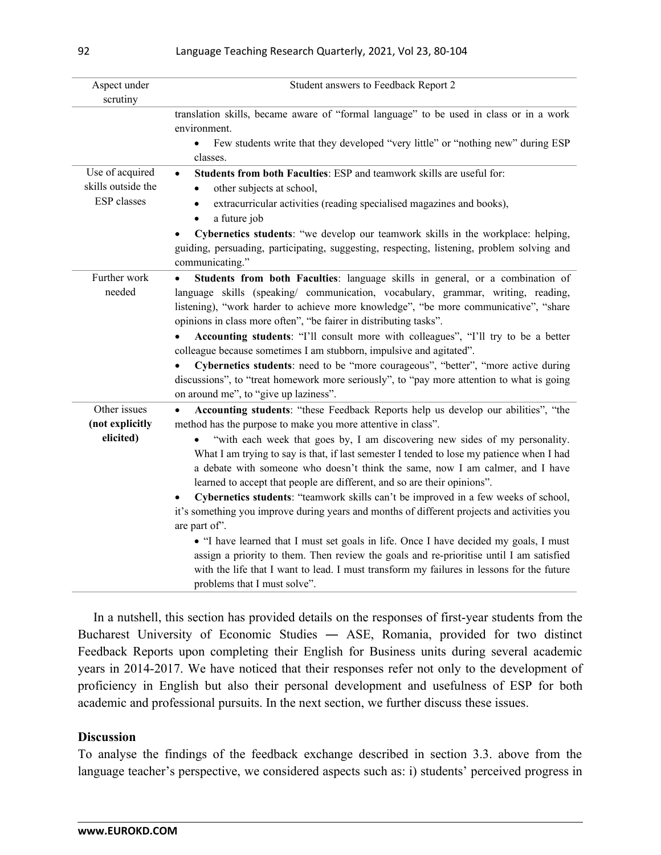| Aspect under                                                | Student answers to Feedback Report 2                                                                                                                                                                                                                                                                                                                                                                                                                                                                                                                                                                                                                                                                                                                                                                                                                                                                                                                                                                                                                                    |
|-------------------------------------------------------------|-------------------------------------------------------------------------------------------------------------------------------------------------------------------------------------------------------------------------------------------------------------------------------------------------------------------------------------------------------------------------------------------------------------------------------------------------------------------------------------------------------------------------------------------------------------------------------------------------------------------------------------------------------------------------------------------------------------------------------------------------------------------------------------------------------------------------------------------------------------------------------------------------------------------------------------------------------------------------------------------------------------------------------------------------------------------------|
| scrutiny                                                    |                                                                                                                                                                                                                                                                                                                                                                                                                                                                                                                                                                                                                                                                                                                                                                                                                                                                                                                                                                                                                                                                         |
|                                                             | translation skills, became aware of "formal language" to be used in class or in a work<br>environment.                                                                                                                                                                                                                                                                                                                                                                                                                                                                                                                                                                                                                                                                                                                                                                                                                                                                                                                                                                  |
|                                                             | Few students write that they developed "very little" or "nothing new" during ESP<br>$\bullet$<br>classes.                                                                                                                                                                                                                                                                                                                                                                                                                                                                                                                                                                                                                                                                                                                                                                                                                                                                                                                                                               |
| Use of acquired<br>skills outside the<br><b>ESP</b> classes | Students from both Faculties: ESP and teamwork skills are useful for:<br>other subjects at school,<br>extracurricular activities (reading specialised magazines and books),                                                                                                                                                                                                                                                                                                                                                                                                                                                                                                                                                                                                                                                                                                                                                                                                                                                                                             |
|                                                             | a future job<br>$\bullet$<br>Cybernetics students: "we develop our teamwork skills in the workplace: helping,<br>guiding, persuading, participating, suggesting, respecting, listening, problem solving and<br>communicating."                                                                                                                                                                                                                                                                                                                                                                                                                                                                                                                                                                                                                                                                                                                                                                                                                                          |
| Further work<br>needed                                      | Students from both Faculties: language skills in general, or a combination of<br>language skills (speaking/ communication, vocabulary, grammar, writing, reading,<br>listening), "work harder to achieve more knowledge", "be more communicative", "share<br>opinions in class more often", "be fairer in distributing tasks".<br>Accounting students: "I'll consult more with colleagues", "I'll try to be a better<br>colleague because sometimes I am stubborn, impulsive and agitated".<br>Cybernetics students: need to be "more courageous", "better", "more active during<br>discussions", to "treat homework more seriously", to "pay more attention to what is going                                                                                                                                                                                                                                                                                                                                                                                           |
| Other issues<br>(not explicitly<br>elicited)                | on around me", to "give up laziness".<br>Accounting students: "these Feedback Reports help us develop our abilities", "the<br>$\bullet$<br>method has the purpose to make you more attentive in class".<br>"with each week that goes by, I am discovering new sides of my personality.<br>What I am trying to say is that, if last semester I tended to lose my patience when I had<br>a debate with someone who doesn't think the same, now I am calmer, and I have<br>learned to accept that people are different, and so are their opinions".<br>Cybernetics students: "teamwork skills can't be improved in a few weeks of school,<br>it's something you improve during years and months of different projects and activities you<br>are part of".<br>• "I have learned that I must set goals in life. Once I have decided my goals, I must<br>assign a priority to them. Then review the goals and re-prioritise until I am satisfied<br>with the life that I want to lead. I must transform my failures in lessons for the future<br>problems that I must solve". |

In a nutshell, this section has provided details on the responses of first-year students from the Bucharest University of Economic Studies ― ASE, Romania, provided for two distinct Feedback Reports upon completing their English for Business units during several academic years in 2014-2017. We have noticed that their responses refer not only to the development of proficiency in English but also their personal development and usefulness of ESP for both academic and professional pursuits. In the next section, we further discuss these issues.

## **Discussion**

To analyse the findings of the feedback exchange described in section 3.3. above from the language teacher's perspective, we considered aspects such as: i) students' perceived progress in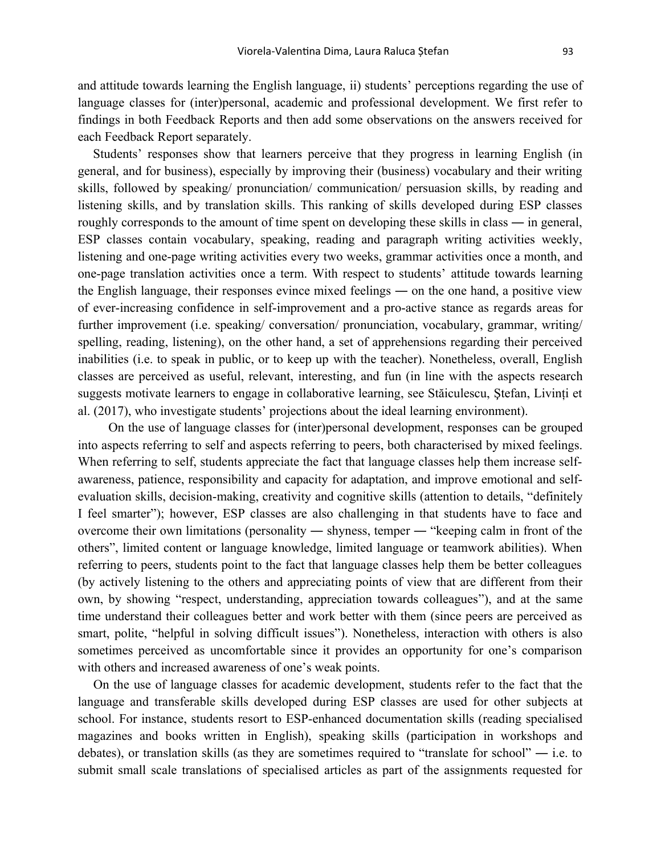and attitude towards learning the English language, ii) students' perceptions regarding the use of language classes for (inter)personal, academic and professional development. We first refer to findings in both Feedback Reports and then add some observations on the answers received for each Feedback Report separately.

Students' responses show that learners perceive that they progress in learning English (in general, and for business), especially by improving their (business) vocabulary and their writing skills, followed by speaking/ pronunciation/ communication/ persuasion skills, by reading and listening skills, and by translation skills. This ranking of skills developed during ESP classes roughly corresponds to the amount of time spent on developing these skills in class — in general, ESP classes contain vocabulary, speaking, reading and paragraph writing activities weekly, listening and one-page writing activities every two weeks, grammar activities once a month, and one-page translation activities once a term. With respect to students' attitude towards learning the English language, their responses evince mixed feelings ― on the one hand, a positive view of ever-increasing confidence in self-improvement and a pro-active stance as regards areas for further improvement (i.e. speaking/ conversation/ pronunciation, vocabulary, grammar, writing/ spelling, reading, listening), on the other hand, a set of apprehensions regarding their perceived inabilities (i.e. to speak in public, or to keep up with the teacher). Nonetheless, overall, English classes are perceived as useful, relevant, interesting, and fun (in line with the aspects research suggests motivate learners to engage in collaborative learning, see Stăiculescu, Ştefan, Livinți et al. (2017), who investigate students' projections about the ideal learning environment).

On the use of language classes for (inter)personal development, responses can be grouped into aspects referring to self and aspects referring to peers, both characterised by mixed feelings. When referring to self, students appreciate the fact that language classes help them increase selfawareness, patience, responsibility and capacity for adaptation, and improve emotional and selfevaluation skills, decision-making, creativity and cognitive skills (attention to details, "definitely I feel smarter"); however, ESP classes are also challenging in that students have to face and overcome their own limitations (personality ― shyness, temper ― "keeping calm in front of the others", limited content or language knowledge, limited language or teamwork abilities). When referring to peers, students point to the fact that language classes help them be better colleagues (by actively listening to the others and appreciating points of view that are different from their own, by showing "respect, understanding, appreciation towards colleagues"), and at the same time understand their colleagues better and work better with them (since peers are perceived as smart, polite, "helpful in solving difficult issues"). Nonetheless, interaction with others is also sometimes perceived as uncomfortable since it provides an opportunity for one's comparison with others and increased awareness of one's weak points.

On the use of language classes for academic development, students refer to the fact that the language and transferable skills developed during ESP classes are used for other subjects at school. For instance, students resort to ESP-enhanced documentation skills (reading specialised magazines and books written in English), speaking skills (participation in workshops and debates), or translation skills (as they are sometimes required to "translate for school" ― i.e. to submit small scale translations of specialised articles as part of the assignments requested for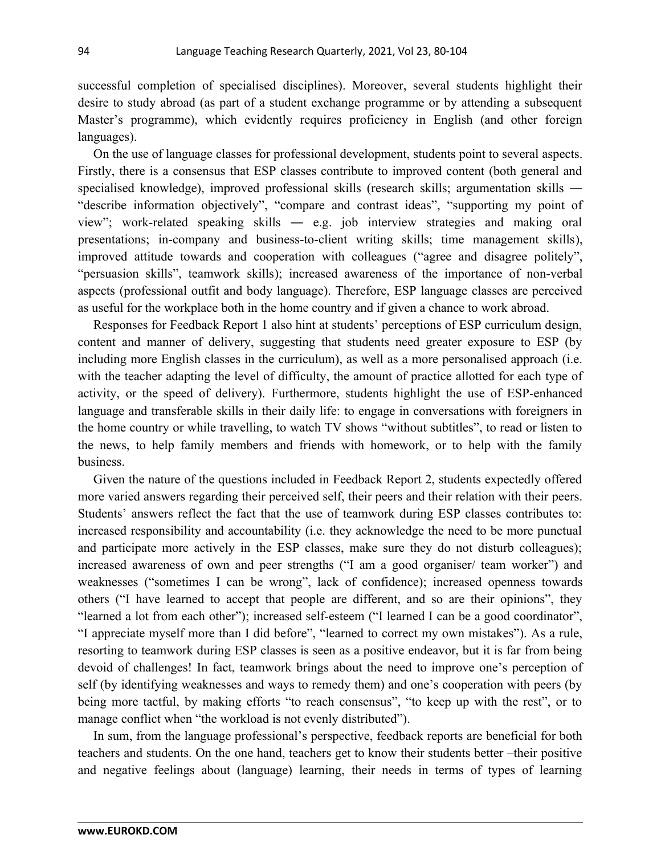successful completion of specialised disciplines). Moreover, several students highlight their desire to study abroad (as part of a student exchange programme or by attending a subsequent Master's programme), which evidently requires proficiency in English (and other foreign languages).

On the use of language classes for professional development, students point to several aspects. Firstly, there is a consensus that ESP classes contribute to improved content (both general and specialised knowledge), improved professional skills (research skills; argumentation skills — "describe information objectively", "compare and contrast ideas", "supporting my point of view"; work-related speaking skills ― e.g. job interview strategies and making oral presentations; in-company and business-to-client writing skills; time management skills), improved attitude towards and cooperation with colleagues ("agree and disagree politely", "persuasion skills", teamwork skills); increased awareness of the importance of non-verbal aspects (professional outfit and body language). Therefore, ESP language classes are perceived as useful for the workplace both in the home country and if given a chance to work abroad.

Responses for Feedback Report 1 also hint at students' perceptions of ESP curriculum design, content and manner of delivery, suggesting that students need greater exposure to ESP (by including more English classes in the curriculum), as well as a more personalised approach (i.e. with the teacher adapting the level of difficulty, the amount of practice allotted for each type of activity, or the speed of delivery). Furthermore, students highlight the use of ESP-enhanced language and transferable skills in their daily life: to engage in conversations with foreigners in the home country or while travelling, to watch TV shows "without subtitles", to read or listen to the news, to help family members and friends with homework, or to help with the family business.

Given the nature of the questions included in Feedback Report 2, students expectedly offered more varied answers regarding their perceived self, their peers and their relation with their peers. Students' answers reflect the fact that the use of teamwork during ESP classes contributes to: increased responsibility and accountability (i.e. they acknowledge the need to be more punctual and participate more actively in the ESP classes, make sure they do not disturb colleagues); increased awareness of own and peer strengths ("I am a good organiser/ team worker") and weaknesses ("sometimes I can be wrong", lack of confidence); increased openness towards others ("I have learned to accept that people are different, and so are their opinions", they "learned a lot from each other"); increased self-esteem ("I learned I can be a good coordinator", "I appreciate myself more than I did before", "learned to correct my own mistakes"). As a rule, resorting to teamwork during ESP classes is seen as a positive endeavor, but it is far from being devoid of challenges! In fact, teamwork brings about the need to improve one's perception of self (by identifying weaknesses and ways to remedy them) and one's cooperation with peers (by being more tactful, by making efforts "to reach consensus", "to keep up with the rest", or to manage conflict when "the workload is not evenly distributed").

In sum, from the language professional's perspective, feedback reports are beneficial for both teachers and students. On the one hand, teachers get to know their students better –their positive and negative feelings about (language) learning, their needs in terms of types of learning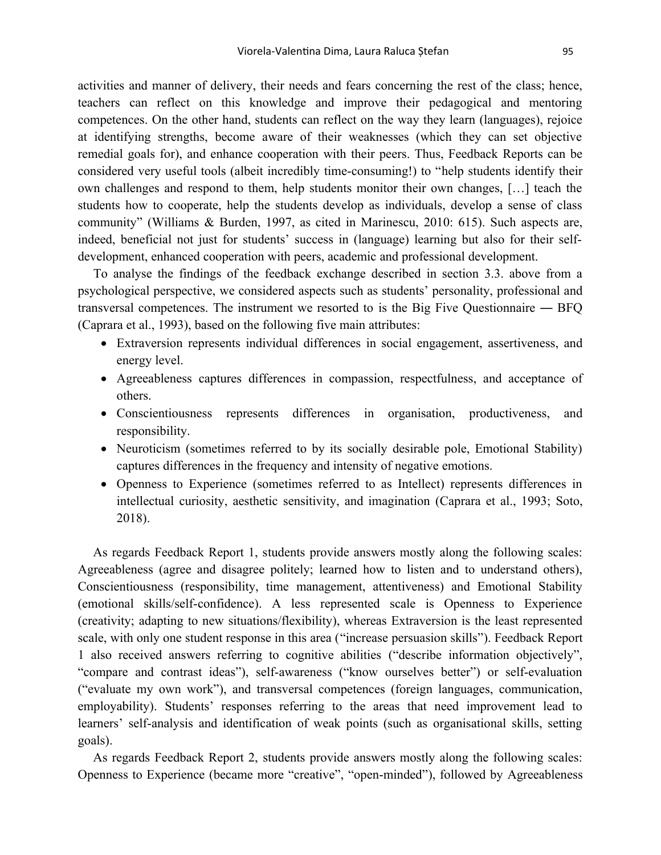activities and manner of delivery, their needs and fears concerning the rest of the class; hence, teachers can reflect on this knowledge and improve their pedagogical and mentoring competences. On the other hand, students can reflect on the way they learn (languages), rejoice at identifying strengths, become aware of their weaknesses (which they can set objective remedial goals for), and enhance cooperation with their peers. Thus, Feedback Reports can be considered very useful tools (albeit incredibly time-consuming!) to "help students identify their own challenges and respond to them, help students monitor their own changes, […] teach the students how to cooperate, help the students develop as individuals, develop a sense of class community" (Williams & Burden, 1997, as cited in Marinescu, 2010: 615). Such aspects are, indeed, beneficial not just for students' success in (language) learning but also for their selfdevelopment, enhanced cooperation with peers, academic and professional development.

To analyse the findings of the feedback exchange described in section 3.3. above from a psychological perspective, we considered aspects such as students' personality, professional and transversal competences. The instrument we resorted to is the Big Five Questionnaire ― BFQ (Caprara et al., 1993), based on the following five main attributes:

- Extraversion represents individual differences in social engagement, assertiveness, and energy level.
- Agreeableness captures differences in compassion, respectfulness, and acceptance of others.
- Conscientiousness represents differences in organisation, productiveness, and responsibility.
- Neuroticism (sometimes referred to by its socially desirable pole, Emotional Stability) captures differences in the frequency and intensity of negative emotions.
- Openness to Experience (sometimes referred to as Intellect) represents differences in intellectual curiosity, aesthetic sensitivity, and imagination (Caprara et al., 1993; Soto, 2018).

As regards Feedback Report 1, students provide answers mostly along the following scales: Agreeableness (agree and disagree politely; learned how to listen and to understand others), Conscientiousness (responsibility, time management, attentiveness) and Emotional Stability (emotional skills/self-confidence). A less represented scale is Openness to Experience (creativity; adapting to new situations/flexibility), whereas Extraversion is the least represented scale, with only one student response in this area ("increase persuasion skills"). Feedback Report 1 also received answers referring to cognitive abilities ("describe information objectively", "compare and contrast ideas"), self-awareness ("know ourselves better") or self-evaluation ("evaluate my own work"), and transversal competences (foreign languages, communication, employability). Students' responses referring to the areas that need improvement lead to learners' self-analysis and identification of weak points (such as organisational skills, setting goals).

As regards Feedback Report 2, students provide answers mostly along the following scales: Openness to Experience (became more "creative", "open-minded"), followed by Agreeableness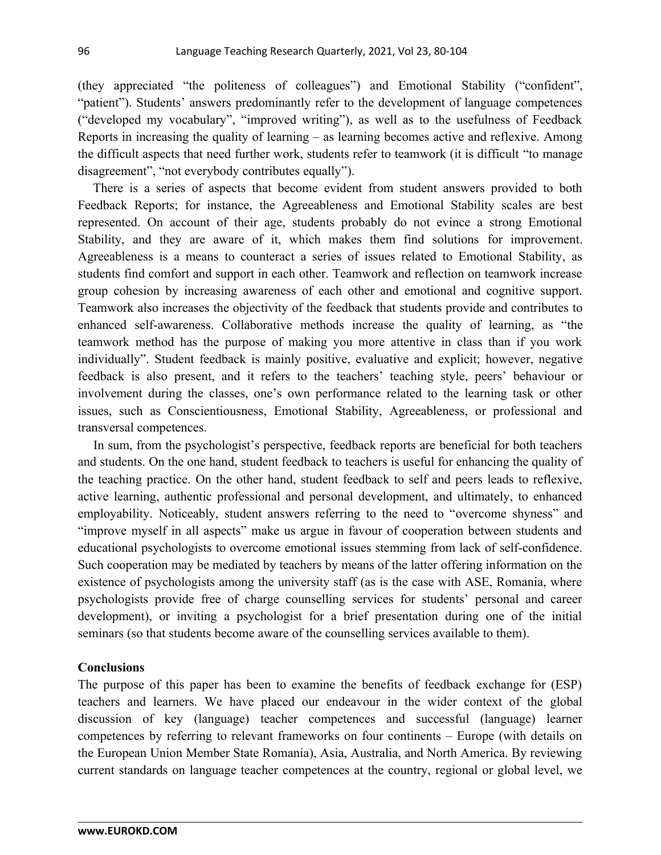(they appreciated "the politeness of colleagues") and Emotional Stability ("confident", "patient"). Students' answers predominantly refer to the development of language competences ("developed my vocabulary", "improved writing"), as well as to the usefulness of Feedback Reports in increasing the quality of learning – as learning becomes active and reflexive. Among the difficult aspects that need further work, students refer to teamwork (it is difficult "to manage disagreement", "not everybody contributes equally").

There is a series of aspects that become evident from student answers provided to both Feedback Reports; for instance, the Agreeableness and Emotional Stability scales are best represented. On account of their age, students probably do not evince a strong Emotional Stability, and they are aware of it, which makes them find solutions for improvement. Agreeableness is a means to counteract a series of issues related to Emotional Stability, as students find comfort and support in each other. Teamwork and reflection on teamwork increase group cohesion by increasing awareness of each other and emotional and cognitive support. Teamwork also increases the objectivity of the feedback that students provide and contributes to enhanced self-awareness. Collaborative methods increase the quality of learning, as "the teamwork method has the purpose of making you more attentive in class than if you work individually". Student feedback is mainly positive, evaluative and explicit; however, negative feedback is also present, and it refers to the teachers' teaching style, peers' behaviour or involvement during the classes, one's own performance related to the learning task or other issues, such as Conscientiousness, Emotional Stability, Agreeableness, or professional and transversal competences.

In sum, from the psychologist's perspective, feedback reports are beneficial for both teachers and students. On the one hand, student feedback to teachers is useful for enhancing the quality of the teaching practice. On the other hand, student feedback to self and peers leads to reflexive, active learning, authentic professional and personal development, and ultimately, to enhanced employability. Noticeably, student answers referring to the need to "overcome shyness" and "improve myself in all aspects" make us argue in favour of cooperation between students and educational psychologists to overcome emotional issues stemming from lack of self-confidence. Such cooperation may be mediated by teachers by means of the latter offering information on the existence of psychologists among the university staff (as is the case with ASE, Romania, where psychologists provide free of charge counselling services for students' personal and career development), or inviting a psychologist for a brief presentation during one of the initial seminars (so that students become aware of the counselling services available to them).

#### **Conclusions**

The purpose of this paper has been to examine the benefits of feedback exchange for (ESP) teachers and learners. We have placed our endeavour in the wider context of the global discussion of key (language) teacher competences and successful (language) learner competences by referring to relevant frameworks on four continents – Europe (with details on the European Union Member State Romania), Asia, Australia, and North America. By reviewing current standards on language teacher competences at the country, regional or global level, we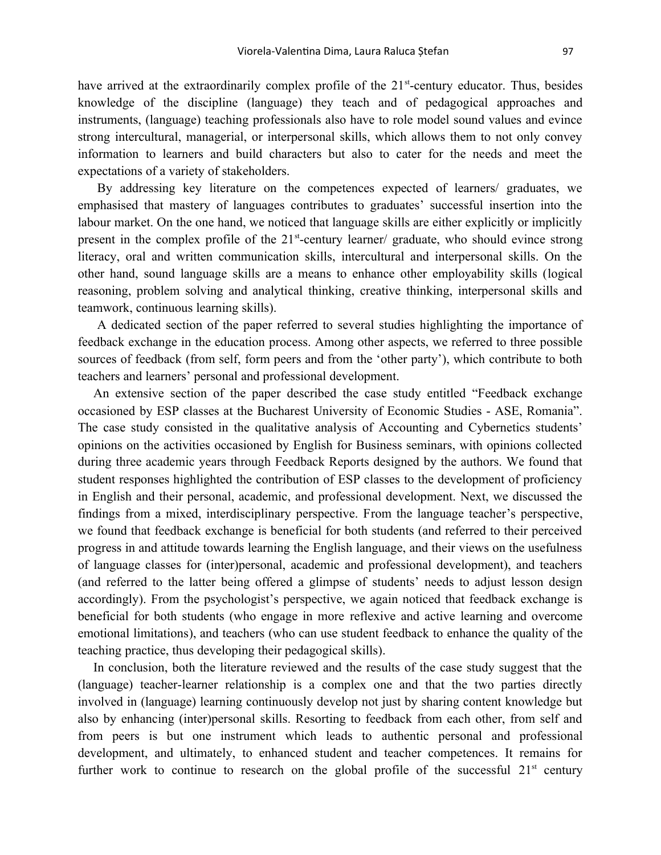have arrived at the extraordinarily complex profile of the  $21<sup>st</sup>$ -century educator. Thus, besides knowledge of the discipline (language) they teach and of pedagogical approaches and instruments, (language) teaching professionals also have to role model sound values and evince strong intercultural, managerial, or interpersonal skills, which allows them to not only convey information to learners and build characters but also to cater for the needs and meet the expectations of a variety of stakeholders.

By addressing key literature on the competences expected of learners/ graduates, we emphasised that mastery of languages contributes to graduates' successful insertion into the labour market. On the one hand, we noticed that language skills are either explicitly or implicitly present in the complex profile of the 21<sup>st</sup>-century learner/ graduate, who should evince strong literacy, oral and written communication skills, intercultural and interpersonal skills. On the other hand, sound language skills are a means to enhance other employability skills (logical reasoning, problem solving and analytical thinking, creative thinking, interpersonal skills and teamwork, continuous learning skills).

A dedicated section of the paper referred to several studies highlighting the importance of feedback exchange in the education process. Among other aspects, we referred to three possible sources of feedback (from self, form peers and from the 'other party'), which contribute to both teachers and learners' personal and professional development.

An extensive section of the paper described the case study entitled "Feedback exchange occasioned by ESP classes at the Bucharest University of Economic Studies - ASE, Romania". The case study consisted in the qualitative analysis of Accounting and Cybernetics students' opinions on the activities occasioned by English for Business seminars, with opinions collected during three academic years through Feedback Reports designed by the authors. We found that student responses highlighted the contribution of ESP classes to the development of proficiency in English and their personal, academic, and professional development. Next, we discussed the findings from a mixed, interdisciplinary perspective. From the language teacher's perspective, we found that feedback exchange is beneficial for both students (and referred to their perceived progress in and attitude towards learning the English language, and their views on the usefulness of language classes for (inter)personal, academic and professional development), and teachers (and referred to the latter being offered a glimpse of students' needs to adjust lesson design accordingly). From the psychologist's perspective, we again noticed that feedback exchange is beneficial for both students (who engage in more reflexive and active learning and overcome emotional limitations), and teachers (who can use student feedback to enhance the quality of the teaching practice, thus developing their pedagogical skills).

In conclusion, both the literature reviewed and the results of the case study suggest that the (language) teacher-learner relationship is a complex one and that the two parties directly involved in (language) learning continuously develop not just by sharing content knowledge but also by enhancing (inter)personal skills. Resorting to feedback from each other, from self and from peers is but one instrument which leads to authentic personal and professional development, and ultimately, to enhanced student and teacher competences. It remains for further work to continue to research on the global profile of the successful  $21<sup>st</sup>$  century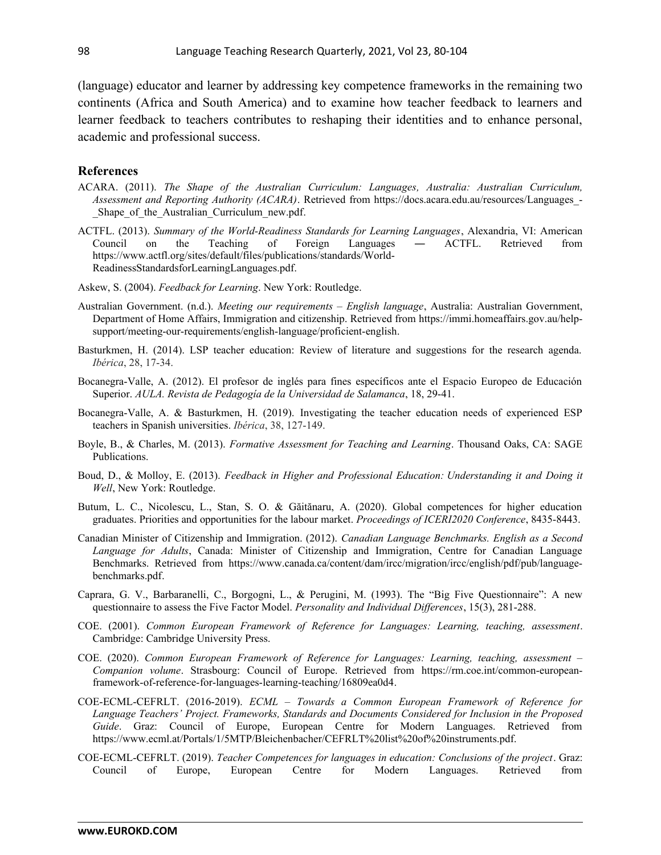(language) educator and learner by addressing key competence frameworks in the remaining two continents (Africa and South America) and to examine how teacher feedback to learners and learner feedback to teachers contributes to reshaping their identities and to enhance personal, academic and professional success.

#### **References**

- ACARA. (2011). *The Shape of the Australian Curriculum: Languages, Australia: Australian Curriculum, Assessment and Reporting Authority (ACARA)*. Retrieved from [https://docs.acara.edu.au/resources/Languages\\_-](https://docs.acara.edu.au/resources/Languages_-_Shape_of_the_Australian_Curriculum_new.pdf) Shape of the Australian Curriculum new.pdf.
- ACTFL. (2013). *Summary of the World-Readiness Standards for Learning Languages*, Alexandria, VI: American Council on the Teaching of Foreign Languages ― ACTFL. Retrieved from [https://www.actfl.org/sites/default/files/publications/standards/World-](https://www.actfl.org/sites/default/files/publications/standards/World-ReadinessStandardsforLearningLanguages.pdf)[ReadinessStandardsforLearningLanguages.pdf.](https://www.actfl.org/sites/default/files/publications/standards/World-ReadinessStandardsforLearningLanguages.pdf)
- Askew, S. (2004). *Feedback for Learning*. New York: Routledge.
- Australian Government. (n.d.). *Meeting our requirements English language*, Australia: Australian Government, Department of Home Affairs, Immigration and citizenship. Retrieved from [https://immi.homeaffairs.gov.au/help](https://immi.homeaffairs.gov.au/help-support/meeting-our-requirements/english-language/proficient-english)[support/meeting-our-requirements/english-language/proficient-english](https://immi.homeaffairs.gov.au/help-support/meeting-our-requirements/english-language/proficient-english).
- Basturkmen, H. (2014). LSP teacher education: Review of literature and suggestions for the research agenda. *Ibérica*, 28, 17-34.
- Bocanegra-Valle, A. (2012). El profesor de inglés para fines específicos ante el Espacio Europeo de Educación Superior. *AULA. Revista de Pedagogía de la Universidad de Salamanca*, 18, 29-41.
- Bocanegra-Valle, A. & Basturkmen, H. (2019). Investigating the teacher education needs of experienced ESP teachers in Spanish universities. *Ibérica*, 38, 127-149.
- Boyle, B., & Charles, M. (2013). *Formative Assessment for Teaching and Learning*. Thousand Oaks, CA: SAGE Publications.
- Boud, D., & Molloy, E. (2013). *Feedback in Higher and Professional Education: Understanding it and Doing it Well*, New York: Routledge.
- Butum, L. C., Nicolescu, L., Stan, S. O. & Găitănaru, A. (2020). Global competences for higher education graduates. Priorities and opportunities for the labour market. *Proceedings of ICERI2020 Conference*, 8435-8443.
- Canadian Minister of Citizenship and Immigration. (2012). *Canadian Language Benchmarks. English as a Second Language for Adults*, Canada: Minister of Citizenship and Immigration, Centre for Canadian Language Benchmarks. Retrieved from [https://www.canada.ca/content/dam/ircc/migration/ircc/english/pdf/pub/language](https://www.canada.ca/content/dam/ircc/migration/ircc/english/pdf/pub/language-benchmarks.pdf)[benchmarks.pdf](https://www.canada.ca/content/dam/ircc/migration/ircc/english/pdf/pub/language-benchmarks.pdf).
- Caprara, G. V., Barbaranelli, C., Borgogni, L., & Perugini, M. (1993). The "Big Five Questionnaire": A new questionnaire to assess the Five Factor Model. *Personality and Individual Differences*, 15(3), 281-288.
- COE. (2001). *Common European Framework of Reference for Languages: Learning, teaching, assessment*. Cambridge: Cambridge University Press.
- COE. (2020). *Common European Framework of Reference for Languages: Learning, teaching, assessment – Companion volume*. Strasbourg: Council of Europe. Retrieved from [https://rm.coe.int/common-european](https://rm.coe.int/common-european-framework-of-reference-for-languages-learning-teaching/16809ea0d4)[framework-of-reference-for-languages-learning-teaching/16809ea0d4](https://rm.coe.int/common-european-framework-of-reference-for-languages-learning-teaching/16809ea0d4).
- COE-ECML-CEFRLT. (2016-2019). *ECML Towards a Common European Framework of Reference for Language Teachers' Project. Frameworks, Standards and Documents Considered for Inclusion in the Proposed Guide*. Graz: Council of Europe, European Centre for Modern Languages. Retrieved from https://www.ecml.at/Portals/1/5MTP/Bleichenbacher/CEFRLT%20list%20of%20instruments.pdf.
- COE-ECML-CEFRLT. (2019). *Teacher Competences for languages in education: Conclusions of the project*. Graz: Council of Europe, European Centre for Modern Languages. Retrieved from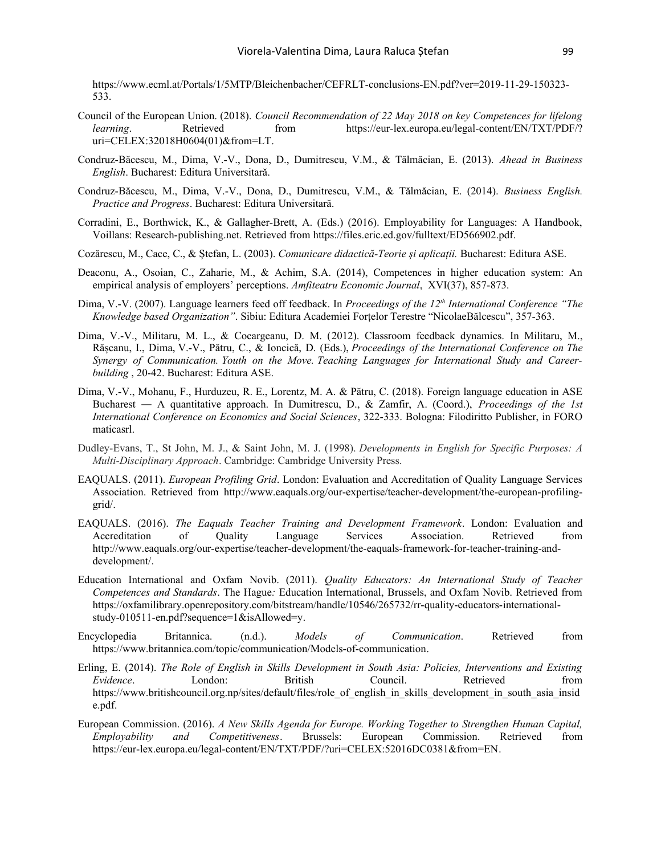[https://www.ecml.at/Portals/1/5MTP/Bleichenbacher/CEFRLT-conclusions-EN.pdf?ver=2019-11-29-150323-](https://www.ecml.at/Portals/1/5MTP/Bleichenbacher/CEFRLT-conclusions-EN.pdf?ver=2019-11-29-150323-533) [533.](https://www.ecml.at/Portals/1/5MTP/Bleichenbacher/CEFRLT-conclusions-EN.pdf?ver=2019-11-29-150323-533)

- Council of the European Union. (2018). *Council Recommendation of 22 May 2018 on key Competences for lifelong learning.* Retrieved from [https://eur-lex.europa.eu/legal-content/EN/TXT/PDF/?](https://eur-lex.europa.eu/legal-content/EN/TXT/PDF/?uri=CELEX:32018H0604(01)&from=LT) [uri=CELEX:32018H0604\(01\)&from=LT](https://eur-lex.europa.eu/legal-content/EN/TXT/PDF/?uri=CELEX:32018H0604(01)&from=LT).
- Condruz-Băcescu, M., Dima, V.-V., Dona, D., Dumitrescu, V.M., & Tălmăcian, E. (2013). *Ahead in Business English*. Bucharest: Editura Universitară.
- Condruz-Băcescu, M., Dima, V.-V., Dona, D., Dumitrescu, V.M., & Tălmăcian, E. (2014). *Business English. Practice and Progress*. Bucharest: Editura Universitară.
- Corradini, E., Borthwick, K., & Gallagher-Brett, A. (Eds.) (2016). Employability for Languages: A Handbook, Voillans: Research-publishing.net. Retrieved from [https://files.eric.ed.gov/fulltext/ED566902.pdf.](https://files.eric.ed.gov/fulltext/ED566902.pdf)
- Cozărescu, M., Cace, C., & Ştefan, L. (2003). *Comunicare didactică-Teorie și aplicații.* Bucharest: Editura ASE.
- Deaconu, A., Osoian, C., Zaharie, M., & Achim, S.A. (2014), Competences in higher education system: An empirical analysis of employers' perceptions. *Amfiteatru Economic Journal*, XVI(37), 857-873.
- Dima, V.-V. (2007). Language learners feed off feedback. In *Proceedings of the 12th International Conference "The Knowledge based Organization"*. Sibiu: Editura Academiei Forțelor Terestre "NicolaeBălcescu", 357-363.
- Dima, V.-V., Militaru, M. L., & Cocargeanu, D. M. (2012). Classroom feedback dynamics. In Militaru, M., Rășcanu, I., Dima, V.-V., Pătru, C., & Ioncică, D. (Eds.), *Proceedings of the International Conference on The Synergy of Communication. Youth on the Move. Teaching Languages for International Study and Careerbuilding* , 20-42. Bucharest: Editura ASE.
- Dima, V.-V., Mohanu, F., Hurduzeu, R. E., Lorentz, M. A. & Pătru, C. (2018). Foreign language education in ASE Bucharest ― A quantitative approach. In Dumitrescu, D., & Zamfir, A. (Coord.), *Proceedings of the 1st International Conference on Economics and Social Sciences*, 322-333. Bologna: Filodiritto Publisher, in FORO maticasrl.
- Dudley-Evans, T., St John, M. J., & Saint John, M. J. (1998). *Developments in English for Specific Purposes: A Multi-Disciplinary Approach*. Cambridge: Cambridge University Press.
- EAQUALS. (2011). *European Profiling Grid*. London: Evaluation and Accreditation of Quality Language Services Association. Retrieved from [http://www.eaquals.org/our-expertise/teacher-development/the-european-profiling](http://www.eaquals.org/our-expertise/teacher-development/the-european-profiling-grid/)[grid/.](http://www.eaquals.org/our-expertise/teacher-development/the-european-profiling-grid/)
- EAQUALS. (2016). *The Eaquals Teacher Training and Development Framework*. London: Evaluation and Accreditation of Quality Language Services Association. Retrieved from [http://www.eaquals.org/our-expertise/teacher-development/the-eaquals-framework-for-teacher-training-and](http://www.eaquals.org/our-expertise/teacher-development/the-eaquals-framework-for-teacher-training-and-development/)[development/](http://www.eaquals.org/our-expertise/teacher-development/the-eaquals-framework-for-teacher-training-and-development/).
- Education International and Oxfam Novib. (2011). *Quality Educators: An International Study of Teacher Competences and Standards*. The Hague*:* Education International, Brussels, and Oxfam Novib. Retrieved from [https://oxfamilibrary.openrepository.com/bitstream/handle/10546/265732/rr-quality-educators-international](https://oxfamilibrary.openrepository.com/bitstream/handle/10546/265732/rr-quality-educators-international-study-010511-en.pdf?sequence=1&isAllowed=y)[study-010511-en.pdf?sequence=1&isAllowed=y.](https://oxfamilibrary.openrepository.com/bitstream/handle/10546/265732/rr-quality-educators-international-study-010511-en.pdf?sequence=1&isAllowed=y)
- Encyclopedia Britannica. (n.d.). *Models of Communication*. Retrieved from <https://www.britannica.com/topic/communication/Models-of-communication>.
- Erling, E. (2014). *The Role of English in Skills Development in South Asia: Policies, Interventions and Existing Evidence*. London: British Council. Retrieved from [https://www.britishcouncil.org.np/sites/default/files/role\\_of\\_english\\_in\\_skills\\_development\\_in\\_south\\_asia\\_insid](https://www.britishcouncil.org.np/sites/default/files/role_of_english_in_skills_development_in_south_asia_inside.pdf) [e.pdf](https://www.britishcouncil.org.np/sites/default/files/role_of_english_in_skills_development_in_south_asia_inside.pdf).
- European Commission. (2016). *A New Skills Agenda for Europe. Working Together to Strengthen Human Capital, Employability and Competitiveness*. Brussels: European Commission. Retrieved from <https://eur-lex.europa.eu/legal-content/EN/TXT/PDF/?uri=CELEX:52016DC0381&from=EN>.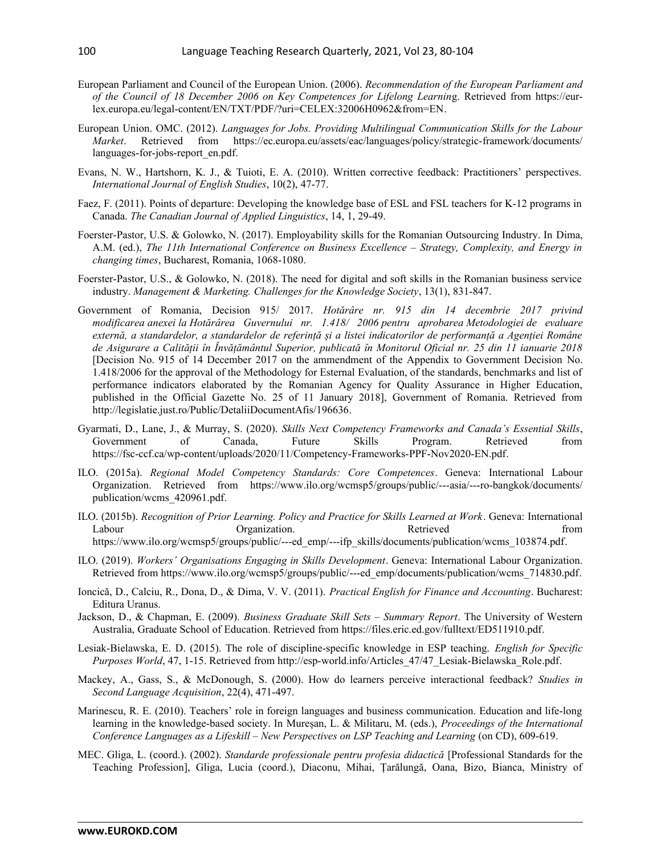- European Parliament and Council of the European Union. (2006). *Recommendation of the European Parliament and of the Council of 18 December 2006 on Key Competences for Lifelong Learnin*g. Retrieved from [https://eur](https://eur-lex.europa.eu/legal-content/EN/TXT/PDF/?uri=CELEX:32006H0962&from=EN)[lex.europa.eu/legal-content/EN/TXT/PDF/?uri=CELEX:32006H0962&from=EN](https://eur-lex.europa.eu/legal-content/EN/TXT/PDF/?uri=CELEX:32006H0962&from=EN).
- European Union. OMC. (2012). *Languages for Jobs. Providing Multilingual Communication Skills for the Labour Market*. Retrieved from [https://ec.europa.eu/assets/eac/languages/policy/strategic-framework/documents/](https://ec.europa.eu/assets/eac/languages/policy/strategic-framework/documents/languages-for-jobs-report_en.pdf) [languages-for-jobs-report\\_en.pdf](https://ec.europa.eu/assets/eac/languages/policy/strategic-framework/documents/languages-for-jobs-report_en.pdf).
- Evans, N. W., Hartshorn, K. J., & Tuioti, E. A. (2010). Written corrective feedback: Practitioners' perspectives. *International Journal of English Studies*, 10(2), 47-77.
- Faez, F. (2011). Points of departure: Developing the knowledge base of ESL and FSL teachers for K-12 programs in Canada. *The Canadian Journal of Applied Linguistics*, 14, 1, 29-49.
- Foerster-Pastor, U.S. & Golowko, N. (2017). Employability skills for the Romanian Outsourcing Industry. In Dima, A.M. (ed.), *The 11th International Conference on Business Excellence – Strategy, Complexity, and Energy in changing times*, Bucharest, Romania, 1068-1080.
- Foerster-Pastor, U.S., & Golowko, N. (2018). The need for digital and soft skills in the Romanian business service industry. *Management & Marketing. Challenges for the Knowledge Society*, 13(1), 831-847.
- Government of Romania, Decision 915/ 2017. *Hotărâre nr. 915 din 14 decembrie 2017 privind modificarea anexei la Hotărârea Guvernului nr. 1.418/ 2006 pentru aprobarea Metodologiei de evaluare externă, a standardelor, a standardelor de referință și a listei indicatorilor de performanță a Agenției Române de Asigurare a Calității în Învățământul Superior, publicată în Monitorul Oficial nr. 25 din 11 ianuarie 2018* [Decision No. 915 of 14 December 2017 on the ammendment of the Appendix to Government Decision No. 1.418/2006 for the approval of the Methodology for Esternal Evaluation, of the standards, benchmarks and list of performance indicators elaborated by the Romanian Agency for Quality Assurance in Higher Education, published in the Official Gazette No. 25 of 11 January 2018], Government of Romania. Retrieved from <http://legislatie.just.ro/Public/DetaliiDocumentAfis/196636>.
- Gyarmati, D., Lane, J., & Murray, S. (2020). *Skills Next Competency Frameworks and Canada's Essential Skills*, Government of Canada, Future Skills Program. Retrieved from <https://fsc-ccf.ca/wp-content/uploads/2020/11/Competency-Frameworks-PPF-Nov2020-EN.pdf>.
- ILO. (2015a). *Regional Model Competency Standards: Core Competences*. Geneva: International Labour Organization. Retrieved from [https://www.ilo.org/wcmsp5/groups/public/---asia/---ro-bangkok/documents/](https://www.ilo.org/wcmsp5/groups/public/---asia/---ro-bangkok/documents/publication/wcms_420961.pdf) [publication/wcms\\_420961.pdf.](https://www.ilo.org/wcmsp5/groups/public/---asia/---ro-bangkok/documents/publication/wcms_420961.pdf)
- ILO. (2015b). *Recognition of Prior Learning. Policy and Practice for Skills Learned at Work*. Geneva: International Labour **Communists** Organization. Retrieved **Example 1** From **Communists** Organization. [https://www.ilo.org/wcmsp5/groups/public/---ed\\_emp/---ifp\\_skills/documents/publication/wcms\\_103874.pdf](https://www.ilo.org/wcmsp5/groups/public/---ed_emp/---ifp_skills/documents/publication/wcms_103874.pdf).
- ILO. (2019). *Workers' Organisations Engaging in Skills Development*. Geneva: International Labour Organization. Retrieved from [https://www.ilo.org/wcmsp5/groups/public/---ed\\_emp/documents/publication/wcms\\_714830.pdf.](https://www.ilo.org/wcmsp5/groups/public/---ed_emp/documents/publication/wcms_714830.pdf)
- Ioncică, D., Calciu, R., Dona, D., & Dima, V. V. (2011). *Practical English for Finance and Accounting*. Bucharest: Editura Uranus.
- Jackson, D., & Chapman, E. (2009). *Business Graduate Skill Sets Summary Report*. The University of Western Australia, Graduate School of Education. Retrieved from<https://files.eric.ed.gov/fulltext/ED511910.pdf>.
- Lesiak-Bielawska, E. D. (2015). The role of discipline-specific knowledge in ESP teaching. *English for Specific Purposes World*, 47, 1-15. Retrieved from [http://esp-world.info/Articles\\_47/47\\_Lesiak-Bielawska\\_Role.pdf](http://esp-world.info/Articles_47/47_Lesiak-Bielawska_Role.pdf).
- Mackey, A., Gass, S., & McDonough, S. (2000). How do learners perceive interactional feedback? *Studies in Second Language Acquisition*, 22(4), 471-497.
- Marinescu, R. E. (2010). Teachers' role in foreign languages and business communication. Education and life-long learning in the knowledge-based society. In Mureșan, L. & Militaru, M. (eds.), *Proceedings of the International Conference Languages as a Lifeskill – New Perspectives on LSP Teaching and Learning* (on CD), 609-619.
- MEC. Gliga, L. (coord.). (2002). *Standarde professionale pentru profesia didactică* [Professional Standards for the Teaching Profession], Gliga, Lucia (coord.), Diaconu, Mihai, Țarălungă, Oana, Bizo, Bianca, Ministry of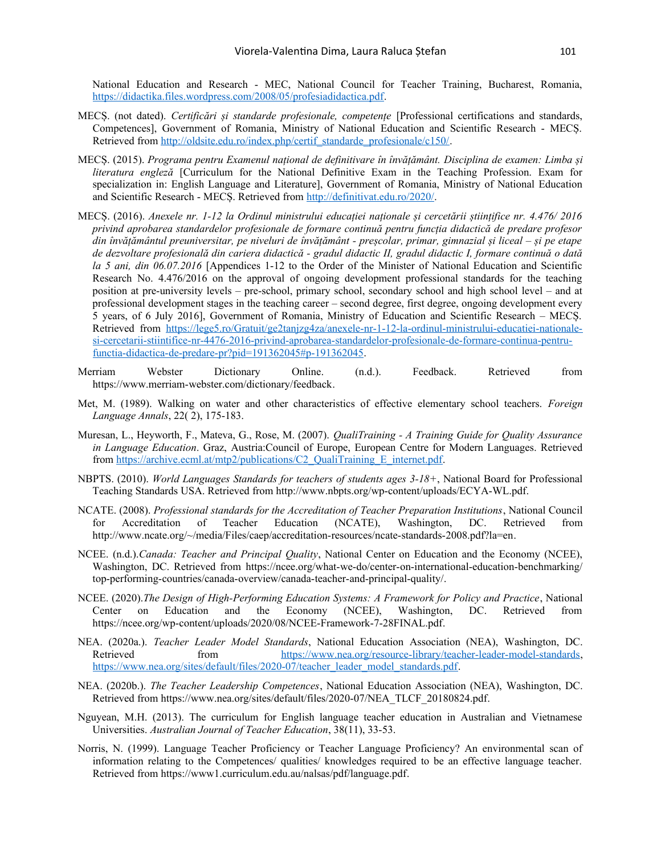National Education and Research - MEC, National Council for Teacher Training, Bucharest, Romania, [https://didactika.files.wordpress.com/2008/05/profesiadidactica.pdf.](https://didactika.files.wordpress.com/2008/05/profesiadidactica.pdf)

- MECȘ. (not dated). *Certificări și standarde profesionale, competențe* [Professional certifications and standards, Competences], Government of Romania, Ministry of National Education and Scientific Research - MECȘ. Retrieved from [http://oldsite.edu.ro/index.php/certif\\_standarde\\_profesionale/c150/.](http://oldsite.edu.ro/index.php/certif_standarde_profesionale/c150/)
- MECȘ. (2015). *Programa pentru Examenul național de definitivare în învățământ. Disciplina de examen: Limba și literatura engleză* [Curriculum for the National Definitive Exam in the Teaching Profession. Exam for specialization in: English Language and Literature], Government of Romania, Ministry of National Education and Scientific Research - MECȘ. Retrieved from <http://definitivat.edu.ro/2020/>.
- MECȘ. (2016). *Anexele nr. 1-12 la Ordinul ministrului educației naționale și cercetării științifice nr. 4.476/ 2016 privind aprobarea standardelor profesionale de formare continuă pentru funcția didactică de predare profesor din învățământul preuniversitar, pe niveluri de învățământ - preșcolar, primar, gimnazial și liceal – și pe etape de dezvoltare profesională din cariera didactică - gradul didactic II, gradul didactic I, formare continuă o dată la 5 ani, din 06.07.2016* [Appendices 1-12 to the Order of the Minister of National Education and Scientific Research No. 4.476/2016 on the approval of ongoing development professional standards for the teaching position at pre-university levels – pre-school, primary school, secondary school and high school level – and at professional development stages in the teaching career – second degree, first degree, ongoing development every 5 years, of 6 July 2016], Government of Romania, Ministry of Education and Scientific Research – MECȘ. Retrieved from [https://lege5.ro/Gratuit/ge2tanjzg4za/anexele-nr-1-12-la-ordinul-ministrului-educatiei-nationale](https://lege5.ro/Gratuit/ge2tanjzg4za/anexele-nr-1-12-la-ordinul-ministrului-educatiei-nationale-si-cercetarii-stiintifice-nr-4476-2016-privind-aprobarea-standardelor-profesionale-de-formare-continua-pentru-functia-didactica-de-predare-pr?pid=191362045#p-191362045)[si-cercetarii-stiintifice-nr-4476-2016-privind-aprobarea-standardelor-profesionale-de-formare-continua-pentru](https://lege5.ro/Gratuit/ge2tanjzg4za/anexele-nr-1-12-la-ordinul-ministrului-educatiei-nationale-si-cercetarii-stiintifice-nr-4476-2016-privind-aprobarea-standardelor-profesionale-de-formare-continua-pentru-functia-didactica-de-predare-pr?pid=191362045#p-191362045)[functia-didactica-de-predare-pr?pid=191362045#p-191362045](https://lege5.ro/Gratuit/ge2tanjzg4za/anexele-nr-1-12-la-ordinul-ministrului-educatiei-nationale-si-cercetarii-stiintifice-nr-4476-2016-privind-aprobarea-standardelor-profesionale-de-formare-continua-pentru-functia-didactica-de-predare-pr?pid=191362045#p-191362045).
- Merriam Webster Dictionary Online. (n.d.). Feedback. Retrieved from <https://www.merriam-webster.com/dictionary/feedback>.
- Met, M. (1989). Walking on water and other characteristics of effective elementary school teachers. *Foreign Language Annals*, 22( 2), 175-183.
- Muresan, L., Heyworth, F., Mateva, G., Rose, M. (2007). *QualiTraining A Training Guide for Quality Assurance in Language Education*. Graz, Austria:Council of Europe, European Centre for Modern Languages. Retrieved from [https://archive.ecml.at/mtp2/publications/C2\\_QualiTraining\\_E\\_internet.pdf](https://archive.ecml.at/mtp2/publications/C2_QualiTraining_E_internet.pdf).
- NBPTS. (2010). *World Languages Standards for teachers of students ages 3-18+*, National Board for Professional Teaching Standards USA. Retrieved from [http://www.nbpts.org/wp-content/uploads/ECYA-WL.pdf.](http://www.nbpts.org/wp-content/uploads/ECYA-WL.pdf)
- NCATE. (2008). *Professional standards for the Accreditation of Teacher Preparation Institutions*, National Council for Accreditation of Teacher Education (NCATE), Washington, DC. Retrieved from [http://www.ncate.org/~/media/Files/caep/accreditation-resources/ncate-standards-2008.pdf?la=en.](http://www.ncate.org/~/media/Files/caep/accreditation-resources/ncate-standards-2008.pdf?la=en)
- NCEE. (n.d.).*Canada: Teacher and Principal Quality*, National Center on Education and the Economy (NCEE), Washington, DC. Retrieved from [https://ncee.org/what-we-do/center-on-international-education-benchmarking/](https://ncee.org/what-we-do/center-on-international-education-benchmarking/top-performing-countries/canada-overview/canada-teacher-and-principal-quality/) [top-performing-countries/canada-overview/canada-teacher-and-principal-quality/](https://ncee.org/what-we-do/center-on-international-education-benchmarking/top-performing-countries/canada-overview/canada-teacher-and-principal-quality/).
- NCEE. (2020).*The Design of High-Performing Education Systems: A Framework for Policy and Practice*, National Center on Education and the Economy (NCEE), Washington, DC. Retrieved from <https://ncee.org/wp-content/uploads/2020/08/NCEE-Framework-7-28FINAL.pdf>.
- NEA. (2020a.). *Teacher Leader Model Standards*, National Education Association (NEA), Washington, DC. Retrieved from [https://www.nea.org/resource-library/teacher-leader-model-standards,](https://www.nea.org/resource-library/teacher-leader-model-standards) [https://www.nea.org/sites/default/files/2020-07/teacher\\_leader\\_model\\_standards.pdf](https://www.nea.org/sites/default/files/2020-07/teacher_leader_model_standards.pdf).
- NEA. (2020b.). *The Teacher Leadership Competences*, National Education Association (NEA), Washington, DC. Retrieved from [https://www.nea.org/sites/default/files/2020-07/NEA\\_TLCF\\_20180824.pdf.](https://www.nea.org/sites/default/files/2020-07/NEA_TLCF_20180824.pdf)
- Nguyean, M.H. (2013). The curriculum for English language teacher education in Australian and Vietnamese Universities. *Australian Journal of Teacher Education*, 38(11), 33-53.
- Norris, N. (1999). Language Teacher Proficiency or Teacher Language Proficiency? An environmental scan of information relating to the Competences/ qualities/ knowledges required to be an effective language teacher. Retrieved from [https://www1.curriculum.edu.au/nalsas/pdf/language.pdf.](https://www1.curriculum.edu.au/nalsas/pdf/language.pdf)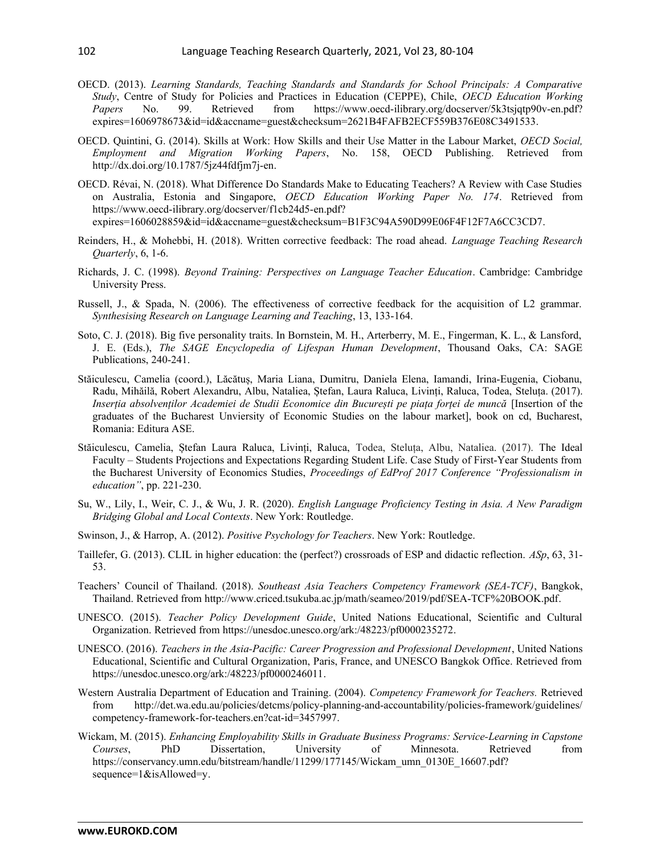- OECD. (2013). *Learning Standards, Teaching Standards and Standards for School Principals: A Comparative Study*, Centre of Study for Policies and Practices in Education (CEPPE), Chile, *OECD Education Working Papers* No. 99. Retrieved from [https://www.oecd-ilibrary.org/docserver/5k3tsjqtp90v-en.pdf?](https://www.oecd-ilibrary.org/docserver/5k3tsjqtp90v-en.pdf?expires=1606978673&id=id&accname=guest&checksum=2621B4FAFB2ECF559B376E08C3491533) [expires=1606978673&id=id&accname=guest&checksum=2621B4FAFB2ECF559B376E08C3491533.](https://www.oecd-ilibrary.org/docserver/5k3tsjqtp90v-en.pdf?expires=1606978673&id=id&accname=guest&checksum=2621B4FAFB2ECF559B376E08C3491533)
- OECD. Quintini, G. (2014). Skills at Work: How Skills and their Use Matter in the Labour Market, *OECD Social, Employment and Migration Working Papers*, No. 158, OECD Publishing. Retrieved from [http://dx.doi.org/10.1787/5jz44fdfjm7j-en.](http://dx.doi.org/10.1787/5jz44fdfjm7j-en)
- OECD. Révai, N. (2018). What Difference Do Standards Make to Educating Teachers? A Review with Case Studies on Australia, Estonia and Singapore, *OECD Education Working Paper No. 174*. Retrieved from [https://www.oecd-ilibrary.org/docserver/f1cb24d5-en.pdf?](https://www.oecd-ilibrary.org/docserver/f1cb24d5-en.pdf?expires=1606028859&id=id&accname=guest&checksum=B1F3C94A590D99E06F4F12F7A6CC3CD7) [expires=1606028859&id=id&accname=guest&checksum=B1F3C94A590D99E06F4F12F7A6CC3CD7.](https://www.oecd-ilibrary.org/docserver/f1cb24d5-en.pdf?expires=1606028859&id=id&accname=guest&checksum=B1F3C94A590D99E06F4F12F7A6CC3CD7)
- Reinders, H., & Mohebbi, H. (2018). Written corrective feedback: The road ahead. *Language Teaching Research Quarterly*, 6, 1-6.
- Richards, J. C. (1998). *Beyond Training: Perspectives on Language Teacher Education*. Cambridge: Cambridge University Press.
- Russell, J., & Spada, N. (2006). The effectiveness of corrective feedback for the acquisition of L2 grammar. *Synthesising Research on Language Learning and Teaching*, 13, 133-164.
- Soto, C. J. (2018). Big five personality traits. In Bornstein, M. H., Arterberry, M. E., Fingerman, K. L., & Lansford, J. E. (Eds.), *The SAGE Encyclopedia of Lifespan Human Development*, Thousand Oaks, CA: SAGE Publications, 240-241.
- Stăiculescu, Camelia (coord.), Lăcătuș, Maria Liana, Dumitru, Daniela Elena, Iamandi, Irina-Eugenia, Ciobanu, Radu, Mihăilă, Robert Alexandru, Albu, Nataliea, Ștefan, Laura Raluca, Livinți, Raluca, Todea, Steluța. (2017). *Inserția absolvenților Academiei de Studii Economice din București pe piața forței de muncă* [Insertion of the graduates of the Bucharest Unviersity of Economic Studies on the labour market], book on cd, Bucharest, Romania: Editura ASE.
- Stăiculescu, Camelia, Ștefan Laura Raluca, Livinți, Raluca, Todea, Steluța, Albu, Nataliea. (2017). The Ideal Faculty – Students Projections and Expectations Regarding Student Life. Case Study of First-Year Students from the Bucharest University of Economics Studies, *Proceedings of EdProf 2017 Conference "Professionalism in education"*, pp. 221-230.
- Su, W., Lily, I., Weir, C. J., & Wu, J. R. (2020). *English Language Proficiency Testing in Asia. A New Paradigm Bridging Global and Local Contexts*. New York: Routledge.
- Swinson, J., & Harrop, A. (2012). *Positive Psychology for Teachers*. New York: Routledge.
- Taillefer, G. (2013). CLIL in higher education: the (perfect?) crossroads of ESP and didactic reflection. *ASp*, 63, 31- 53.
- Teachers' Council of Thailand. (2018). *Southeast Asia Teachers Competency Framework (SEA-TCF)*, Bangkok, Thailand. Retrieved from http://www.criced.tsukuba.ac.jp/math/seameo/2019/pdf/SEA-TCF%20BOOK.pdf.
- UNESCO. (2015). *Teacher Policy Development Guide*, United Nations Educational, Scientific and Cultural Organization. Retrieved from<https://unesdoc.unesco.org/ark:/48223/pf0000235272>.
- UNESCO. (2016). *Teachers in the Asia-Pacific: Career Progression and Professional Development*, United Nations Educational, Scientific and Cultural Organization, Paris, France, and UNESCO Bangkok Office. Retrieved from [https://unesdoc.unesco.org/ark:/48223/pf0000246011.](https://unesdoc.unesco.org/ark:/48223/pf0000246011)
- Western Australia Department of Education and Training. (2004). *Competency Framework for Teachers.* Retrieved from [http://det.wa.edu.au/policies/detcms/policy-planning-and-accountability/policies-framework/guidelines/](http://det.wa.edu.au/policies/detcms/policy-planning-and-accountability/policies-framework/guidelines/competency-framework-for-teachers.en?cat-id=3457997) [competency-framework-for-teachers.en?cat-id=3457997](http://det.wa.edu.au/policies/detcms/policy-planning-and-accountability/policies-framework/guidelines/competency-framework-for-teachers.en?cat-id=3457997).
- Wickam, M. (2015). *Enhancing Employability Skills in Graduate Business Programs: Service-Learning in Capstone Courses*, PhD Dissertation, University of Minnesota. Retrieved from [https://conservancy.umn.edu/bitstream/handle/11299/177145/Wickam\\_umn\\_0130E\\_16607.pdf?](https://conservancy.umn.edu/bitstream/handle/11299/177145/Wickam_umn_0130E_16607.pdf?sequence=1&isAllowed=y) [sequence=1&isAllowed=y.](https://conservancy.umn.edu/bitstream/handle/11299/177145/Wickam_umn_0130E_16607.pdf?sequence=1&isAllowed=y)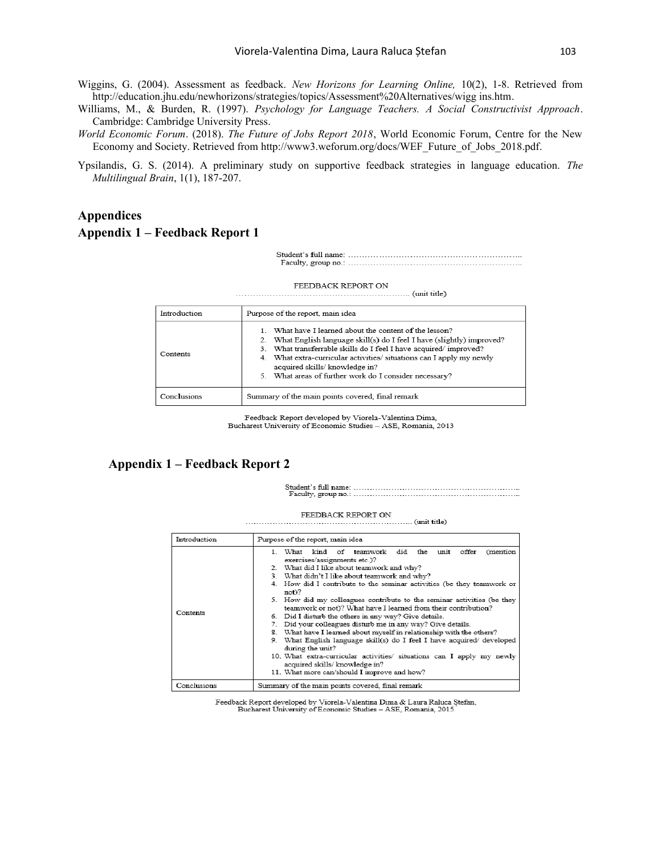- Wiggins, G. (2004). Assessment as feedback. *New Horizons for Learning Online,* 10(2), 1-8. Retrieved from http://education.jhu.edu/newhorizons/strategies/topics/Assessment%20Alternatives/wigg ins.htm.
- Williams, M., & Burden, R. (1997). *Psychology for Language Teachers. A Social Constructivist Approach*. Cambridge: Cambridge University Press.
- *World Economic Forum*. (2018). *The Future of Jobs Report 2018*, World Economic Forum, Centre for the New Economy and Society. Retrieved from [http://www3.weforum.org/docs/WEF\\_Future\\_of\\_Jobs\\_2018.pdf.](http://www3.weforum.org/docs/WEF_Future_of_Jobs_2018.pdf)
- Ypsilandis, G. S. (2014). A preliminary study on supportive feedback strategies in language education. *The Multilingual Brain*, 1(1), 187-207.

# **Appendices Appendix 1 – Feedback Report 1**

#### FEEDBACK REPORT ON

| Introduction | Purpose of the report, main idea                                                                                                                                                                                                                                                                                                                                              |
|--------------|-------------------------------------------------------------------------------------------------------------------------------------------------------------------------------------------------------------------------------------------------------------------------------------------------------------------------------------------------------------------------------|
| Contents     | What have I learned about the content of the lesson?<br>What English language skill(s) do I feel I have (slightly) improved?<br>2.<br>3. What transferrable skills do I feel I have acquired/improved?<br>What extra-curricular activities/ situations can I apply my newly<br>4.<br>acquired skills/ knowledge in?<br>5. What areas of further work do I consider necessary? |
| Conclusions  | Summary of the main points covered, final remark                                                                                                                                                                                                                                                                                                                              |

Feedback Report developed by Viorela-Valentina Dima, Bucharest University of Economic Studies - ASE, Romania, 2013

#### **Appendix 1 – Feedback Report 2**

#### FEEDBACK REPORT ON

 $\ldots$  (unit title) 

| Introduction | Purpose of the report, main idea                                                                                                         |  |  |  |  |  |  |  |
|--------------|------------------------------------------------------------------------------------------------------------------------------------------|--|--|--|--|--|--|--|
|              | did the unit<br>What<br>kind of teamwork<br>offer<br>1.<br>(mention)<br>exercises/assignments etc.)?                                     |  |  |  |  |  |  |  |
|              | 2. What did I like about teamwork and why?                                                                                               |  |  |  |  |  |  |  |
|              | 3. What didn't I like about teamwork and why?                                                                                            |  |  |  |  |  |  |  |
|              | 4. How did I contribute to the seminar activities (be they teamwork or<br>not)?                                                          |  |  |  |  |  |  |  |
|              | 5. How did my colleagues contribute to the seminar activities (be they<br>teamwork or not)? What have I learned from their contribution? |  |  |  |  |  |  |  |
| Contents     | 6. Did I disturb the others in any way? Give details.                                                                                    |  |  |  |  |  |  |  |
|              | Did your colleagues disturb me in any way? Give details.                                                                                 |  |  |  |  |  |  |  |
|              | 8. What have I learned about myself in relationship with the others?                                                                     |  |  |  |  |  |  |  |
|              | 9. What English language skill(s) do I feel I have acquired/ developed<br>during the unit?                                               |  |  |  |  |  |  |  |
|              | 10. What extra-curricular activities/ situations can I apply my newly<br>acquired skills/ knowledge in?                                  |  |  |  |  |  |  |  |
|              | 11. What more can/should I improve and how?                                                                                              |  |  |  |  |  |  |  |
| Conclusions  | Summary of the main points covered, final remark                                                                                         |  |  |  |  |  |  |  |

 $\textbf{Feedback Report developed by Viorela-Valentina Dima & Laura Raluca   
 \textbf{Stefan, Bucharest University of Economic Studies} - ASE, Romania, 2015$